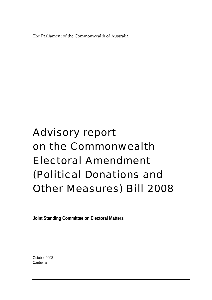The Parliament of the Commonwealth of Australia

# Advisory report on the Commonwealth Electoral Amendment (Political Donations and Other Measures) Bill 2008

**Joint Standing Committee on Electoral Matters** 

October 2008 Canberra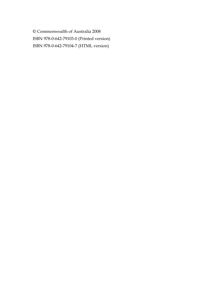© Commonwealth of Australia 2008 ISBN 978-0-642-79103-0 (Printed version) ISBN 978-0-642-79104-7 (HTML version)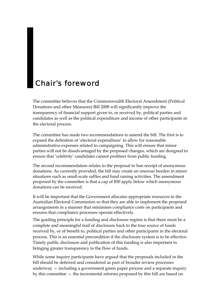# Chair's foreword

The committee believes that the Commonwealth Electoral Amendment (Political Donations and other Measures) Bill 2008 will significantly improve the transparency of financial support given to, or received by, political parties and candidates as well as the political expenditure and income of other participants in the electoral process.

The committee has made two recommendations to amend the bill. The first is to expand the definition of 'electoral expenditure' to allow for reasonable administrative expenses related to campaigning. This will ensure that minor parties will not be disadvantaged by the proposed changes, which are designed to ensure that 'celebrity' candidates cannot profiteer from public funding.

The second recommendation relates to the proposal to ban receipt of anonymous donations. As currently provided, the bill may create an onerous burden in minor situations such as small-scale raffles and fund raising activities. The amendment proposed by the committee is that a cap of \$50 apply below which anonymous donations can be received.

It will be important that the Government allocates appropriate resources to the Australian Electoral Commission so that they are able to implement the proposed arrangements in a manner that minimises compliance costs on participants and ensures that compliance processes operate effectively.

The guiding principle for a funding and disclosure regime is that there must be a complete and meaningful trail of disclosure back to the true source of funds received by, or of benefit to, political parties and other participants in the electoral process. This is an essential precondition if the disclosure system is to be effective. Timely public disclosure and publication of this funding is also important in bringing greater transparency to the flow of funds.

While some inquiry participants have argued that the proposals included in the bill should be deferred and considered as part of broader review processes underway — including a government green paper process and a separate inquiry by this committee — the incremental reforms proposed by this bill are based on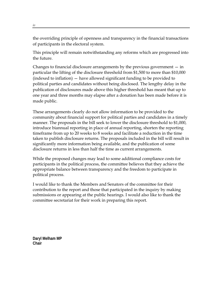the overriding principle of openness and transparency in the financial transactions of participants in the electoral system.

This principle will remain notwithstanding any reforms which are progressed into the future.

Changes to financial disclosure arrangements by the previous government  $-$  in particular the lifting of the disclosure threshold from \$1,500 to more than \$10,000 (indexed to inflation) — have allowed significant funding to be provided to political parties and candidates without being disclosed. The lengthy delay in the publication of disclosures made above this higher threshold has meant that up to one year and three months may elapse after a donation has been made before it is made public.

These arrangements clearly do not allow information to be provided to the community about financial support for political parties and candidates in a timely manner. The proposals in the bill seek to lower the disclosure threshold to \$1,000, introduce biannual reporting in place of annual reporting, shorten the reporting timeframe from up to 20 weeks to 8 weeks and facilitate a reduction in the time taken to publish disclosure returns. The proposals included in the bill will result in significantly more information being available, and the publication of some disclosure returns in less than half the time as current arrangements.

While the proposed changes may lead to some additional compliance costs for participants in the political process, the committee believes that they achieve the appropriate balance between transparency and the freedom to participate in political process.

I would like to thank the Members and Senators of the committee for their contribution to the report and those that participated in the inquiry by making submissions or appearing at the public hearings. I would also like to thank the committee secretariat for their work in preparing this report.

**Daryl Melham MP Chair**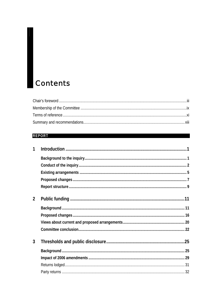# **Contents**

#### **REPORT**

| 1              |  |
|----------------|--|
|                |  |
|                |  |
|                |  |
|                |  |
|                |  |
| $\overline{2}$ |  |
|                |  |
|                |  |
|                |  |
|                |  |
| 3              |  |
|                |  |
|                |  |
|                |  |
|                |  |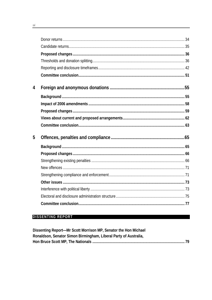| 4 |  |
|---|--|
|   |  |
|   |  |
|   |  |
|   |  |
|   |  |
| 5 |  |
|   |  |
|   |  |
|   |  |
|   |  |
|   |  |
|   |  |
|   |  |
|   |  |
|   |  |
|   |  |

#### DISSENTING REPORT

| Dissenting Report—Mr Scott Morrison MP, Senator the Hon Michael  |  |
|------------------------------------------------------------------|--|
| Ronaldson, Senator Simon Birmingham, Liberal Party of Australia, |  |
|                                                                  |  |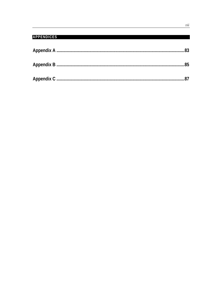#### **APPENDICES**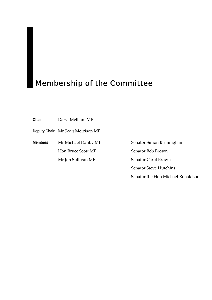# Membership of the Committee

| Chair | Daryl Melham MP |
|-------|-----------------|
|-------|-----------------|

**Deputy Chair** Mr Scott Morrison MP

Members Mr Michael Danby MP Senator Simon Birmingham Hon Bruce Scott MP Senator Bob Brown

Mr Jon Sullivan MP Senator Carol Brown Senator Steve Hutchins Senator the Hon Michael Ronaldson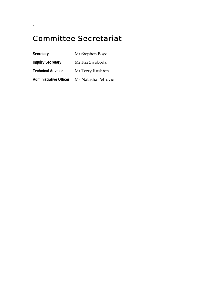# Committee Secretariat

| Secretary                     | Mr Stephen Boyd     |
|-------------------------------|---------------------|
| <b>Inquiry Secretary</b>      | Mr Kai Swoboda      |
| <b>Technical Advisor</b>      | Mr Terry Rushton    |
| <b>Administrative Officer</b> | Ms Natasha Petrovic |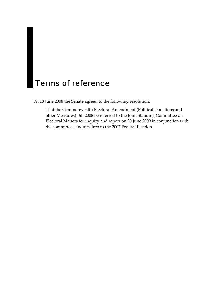# **Terms of reference**

On 18 June 2008 the Senate agreed to the following resolution:

That the Commonwealth Electoral Amendment (Political Donations and other Measures) Bill 2008 be referred to the Joint Standing Committee on Electoral Matters for inquiry and report on 30 June 2009 in conjunction with the committee's inquiry into to the 2007 Federal Election.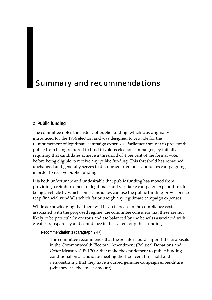## Summary and recommendations

#### **2 Public funding**

The committee notes the history of public funding, which was originally introduced for the 1984 election and was designed to provide for the reimbursement of legitimate campaign expenses. Parliament sought to prevent the public from being required to fund frivolous election campaigns, by initially requiring that candidates achieve a threshold of 4 per cent of the formal vote, before being eligible to receive any public funding. This threshold has remained unchanged and generally serves to discourage frivolous candidates campaigning in order to receive public funding.

It is both unfortunate and undesirable that public funding has moved from providing a reimbursement of legitimate and verifiable campaign expenditure, to being a vehicle by which some candidates can use the public funding provisions to reap financial windfalls which far outweigh any legitimate campaign expenses.

While acknowledging that there will be an increase in the compliance costs associated with the proposed regime, the committee considers that these are not likely to be particularly onerous and are balanced by the benefits associated with greater transparency and confidence in the system of public funding.

#### **Recommendation 1 (paragraph 2.47)**

The committee recommends that the Senate should support the proposals in the Commonwealth Electoral Amendment (Political Donations and Other Measures) Bill 2008 that make the entitlement to public funding conditional on a candidate meeting the 4 per cent threshold and demonstrating that they have incurred genuine campaign expenditure (whichever is the lower amount).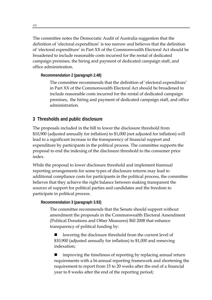The committee notes the Democratic Audit of Australia suggestion that the definition of 'electoral expenditure' is too narrow and believes that the definition of 'electoral expenditure' in Part XX of the Commonwealth Electoral Act should be broadened to include reasonable costs incurred for the rental of dedicated campaign premises, the hiring and payment of dedicated campaign staff, and office administration.

#### **Recommendation 2 (paragraph 2.48)**

The committee recommends that the definition of 'electoral expenditure' in Part XX of the Commonwealth Electoral Act should be broadened to include reasonable costs incurred for the rental of dedicated campaign premises, the hiring and payment of dedicated campaign staff, and office administration.

#### **3 Thresholds and public disclosure**

The proposals included in the bill to lower the disclosure threshold from \$10,900 (adjusted annually for inflation) to \$1,000 (not adjusted for inflation) will lead to a significant increase in the transparency of financial support and expenditure by participants in the political process. The committee supports the proposal to end the indexing of the disclosure threshold to the consumer price index.

While the proposal to lower disclosure threshold and implement biannual reporting arrangements for some types of disclosure returns may lead to additional compliance costs for participants in the political process, the committee believes that they achieve the right balance between making transparent the sources of support for political parties and candidates and the freedom to participate in political process.

#### **Recommendation 3 (paragraph 3.93)**

The committee recommends that the Senate should support without amendment the proposals in the Commonwealth Electoral Amendment (Political Donations and Other Measures) Bill 2008 that enhance transparency of political funding by:

 lowering the disclosure threshold from the current level of \$10,900 (adjusted annually for inflation) to \$1,000 and removing indexation;

 improving the timeliness of reporting by replacing annual return requirements with a bi-annual reporting framework and shortening the requirement to report from 15 to 20 weeks after the end of a financial year to 8 weeks after the end of the reporting period;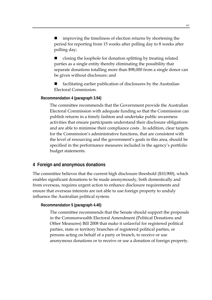improving the timeliness of election returns by shortening the period for reporting from 15 weeks after polling day to 8 weeks after polling day;

 closing the loophole for donation splitting by treating related parties as a single entity thereby eliminating the possibility that separate donations totalling more than \$98,000 from a single donor can be given without disclosure; and

 facilitating earlier publication of disclosures by the Australian Electoral Commission.

#### **Recommendation 4 (paragraph 3.94)**

The committee recommends that the Government provide the Australian Electoral Commission with adequate funding so that the Commission can publish returns in a timely fashion and undertake public awareness activities that ensure participants understand their disclosure obligations and are able to minimise their compliance costs . In addition, clear targets for the Commission's administrative functions, that are consistent with the level of resourcing and the government's goals in this area, should be specified in the performance measures included in the agency's portfolio budget statements.

#### **4 Foreign and anonymous donations**

The committee believes that the current high disclosure threshold (\$10,900), which enables significant donations to be made anonymously, both domestically and from overseas, requires urgent action to enhance disclosure requirements and ensure that overseas interests are not able to use foreign property to unduly influence the Australian political system.

#### **Recommendation 5 (paragraph 4.40)**

The committee recommends that the Senate should support the proposals in the Commonwealth Electoral Amendment (Political Donations and Other Measures) Bill 2008 that make it unlawful for registered political parties, state or territory branches of registered political parties, or persons acting on behalf of a party or branch, to receive or use anonymous donations or to receive or use a donation of foreign property.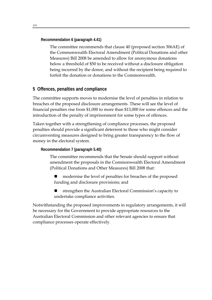#### **Recommendation 6 (paragraph 4.41)**

The committee recommends that clause 40 (proposed section 306AE) of the Commonwealth Electoral Amendment (Political Donations and other Measures) Bill 2008 be amended to allow for anonymous donations below a threshold of \$50 to be received without a disclosure obligation being incurred by the donor, and without the recipient being required to forfeit the donation or donations to the Commonwealth.

#### **5 Offences, penalties and compliance**

The committee supports moves to modernise the level of penalties in relation to breaches of the proposed disclosure arrangements. These will see the level of financial penalties rise from \$1,000 to more than \$13,000 for some offences and the introduction of the penalty of imprisonment for some types of offences.

Taken together with a strengthening of compliance processes, the proposed penalties should provide a significant deterrent to those who might consider circumventing measures designed to bring greater transparency to the flow of money in the electoral system.

#### **Recommendation 7 (paragraph 5.40)**

The committee recommends that the Senate should support without amendment the proposals in the Commonwealth Electoral Amendment (Political Donations and Other Measures) Bill 2008 that:

- modernise the level of penalties for breaches of the proposed funding and disclosure provisions; and
- strengthen the Australian Electoral Commission's capacity to undertake compliance activities.

Notwithstanding the proposed improvements in regulatory arrangements, it will be necessary for the Government to provide appropriate resources to the Australian Electoral Commission and other relevant agencies to ensure that compliance processes operate effectively.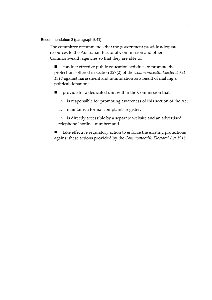#### **Recommendation 8 (paragraph 5.41)**

The committee recommends that the government provide adequate resources to the Australian Electoral Commission and other Commonwealth agencies so that they are able to:

■ conduct effective public education activities to promote the protections offered in section 327(2) of the *Commonwealth Electoral Act 1918* against harassment and intimidation as a result of making a political donation;

- **P** provide for a dedicated unit within the Commission that:
	- $\Rightarrow$  is responsible for promoting awareness of this section of the Act
	- $\Rightarrow$  maintains a formal complaints register;
	- $\Rightarrow$  is directly accessible by a separate website and an advertised telephone 'hotline' number; and

 $\blacksquare$  take effective regulatory action to enforce the existing protections against these actions provided by the *Commonwealth Electoral Act 1918*.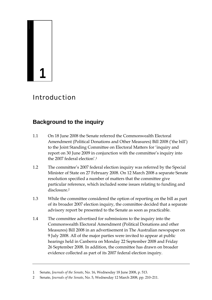# **1**

### Introduction

#### **Background to the inquiry**

- 1.1 On 18 June 2008 the Senate referred the Commonwealth Electoral Amendment (Political Donations and Other Measures) Bill 2008 ('the bill') to the Joint Standing Committee on Electoral Matters for 'inquiry and report on 30 June 2009 in conjunction with the committee's inquiry into the 2007 federal election'.<sup>1</sup>
- 1.2 The committee's 2007 federal election inquiry was referred by the Special Minister of State on 27 February 2008. On 12 March 2008 a separate Senate resolution specified a number of matters that the committee give particular reference, which included some issues relating to funding and disclosure<sup>2</sup>
- 1.3 While the committee considered the option of reporting on the bill as part of its broader 2007 election inquiry, the committee decided that a separate advisory report be presented to the Senate as soon as practicable.
- 1.4 The committee advertised for submissions to the inquiry into the Commonwealth Electoral Amendment (Political Donations and other Measures) Bill 2008 in an advertisement in The Australian newspaper on 9 July 2008. All of the major parties were invited to appear at public hearings held in Canberra on Monday 22 September 2008 and Friday 26 September 2008. In addition, the committee has drawn on broader evidence collected as part of its 2007 federal election inquiry.

<sup>1</sup> Senate, *Journals of the Senate*, No. 16, Wednesday 18 June 2008, p. 513.

<sup>2</sup> Senate, *Journals of the Senate*, No. 5, Wednesday 12 March 2008, pp. 210–211.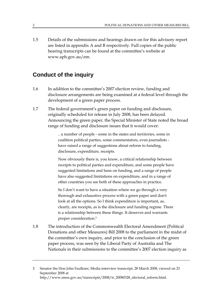1.5 Details of the submissions and hearings drawn on for this advisory report are listed in appendix A and B respectively. Full copies of the public hearing transcripts can be found at the committee's website at www.aph.gov.au/em.

#### **Conduct of the inquiry**

- 1.6 In addition to the committee's 2007 election review, funding and disclosure arrangements are being examined at a federal level through the development of a green paper process.
- 1.7 The federal government's green paper on funding and disclosure, originally scheduled for release in July 2008, has been delayed. Announcing the green paper, the Special Minister of State noted the broad range of funding and disclosure issues that it would cover:

.. a number of people - some in the states and territories, some in coalition political parties, some commentators, even journalists have raised a range of suggestions about reform to funding, disclosure, expenditure, receipts.

Now obviously there is, you know, a critical relationship between receipts to political parties and expenditure, and some people have suggested limitations and bans on funding, and a range of people have also suggested limitations on expenditure, and in a range of other countries you see both of these approaches in practice.

So I don't want to have a situation where we go through a very thorough and exhaustive process with a green paper and don't look at all the options. So I think expenditure is important, as, clearly, are receipts, as is the disclosure and funding regime. There is a relationship between these things. It deserves and warrants proper consideration.<sup>3</sup>

1.8 The introduction of the Commonwealth Electoral Amendment (Political Donations and other Measures) Bill 2008 to the parliament in the midst of the committee's own inquiry, and prior to the conclusion of the green paper process, was seen by the Liberal Party of Australia and The Nationals in their submissions to the committee's 2007 election inquiry as

<sup>3</sup> Senator the Hon John Faulkner, Media interview transcript, 28 March 2008, viewed on 23 September 2008 at http://www.smos.gov.au/transcripts/2008/tr\_20080328\_electoral\_reform.html.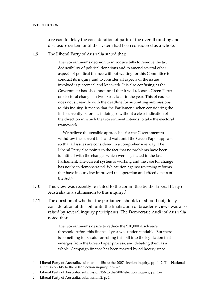a reason to delay the consideration of parts of the overall funding and disclosure system until the system had been considered as a whole.<sup>4</sup>

1.9 The Liberal Party of Australia stated that:

The Government's decision to introduce bills to remove the tax deductibility of political donations and to amend several other aspects of political finance without waiting for this Committee to conduct its inquiry and to consider all aspects of the issues involved is piecemeal and knee-jerk. It is also confusing as the Government has also announced that it will release a Green Paper on electoral change, in two parts, later in the year. This of course does not sit readily with the deadline for submitting submissions to this Inquiry. It means that the Parliament, when considering the Bills currently before it, is doing so without a clear indication of the direction in which the Government intends to take the electoral framework.

… We believe the sensible approach is for the Government to withdraw the current bills and wait until the Green Paper appears, so that all issues are considered in a comprehensive way. The Liberal Party also points to the fact that no problems have been identified with the changes which were legislated in the last Parliament. The current system is working and the case for change has not been demonstrated. We caution against reversing reforms that have in our view improved the operation and effectiveness of the Act.<sup>5</sup>

- 1.10 This view was recently re-stated to the committee by the Liberal Party of Australia in a submission to this inquiry.<sup>6</sup>
- 1.11 The question of whether the parliament should, or should not, delay consideration of this bill until the finalisation of broader reviews was also raised by several inquiry participants. The Democratic Audit of Australia noted that:

The Government's desire to reduce the \$10,000 disclosure threshold before this financial year was understandable. But there is something to be said for rolling this bill into the legislation that emerges from the Green Paper process, and debating them as a whole. Campaign finance has been marred by ad hocery since

- 5 Liberal Party of Australia, submission 156 to the 2007 election inquiry, pp. 1–2.
- 6 Liberal Party of Australia, submission 2, p. 1.

<sup>4</sup> Liberal Party of Australia, submission 156 to the 2007 election inquiry, pp. 1–2; The Nationals, submission 145 to the 2007 election inquiry, pp.6–7.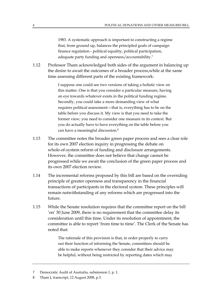1983. A systematic approach is important to constructing a regime that, from ground up, balances the principled goals of campaign finance regulation - political equality, political participation, adequate party funding and openness/accountability.<sup>7</sup>

1.12 Professor Tham acknowledged both sides of the argument in balancing up the desire to await the outcomes of a broader process,while at the same time assessing different parts of the existing framework:

> I suppose one could see two versions of taking a holistic view on this matter. One is that you consider a particular measure, having an eye towards whatever exists in the political funding regime. Secondly, you could take a more demanding view of what requires political assessment—that is, everything has to be on the table before you discuss it. My view is that you need to take the former view; you need to consider one measure in its context. But you do actually have to have everything on the table before you can have a meaningful discussion.<sup>8</sup>

- 1.13 The committee notes the broader green paper process and sees a clear role for its own 2007 election inquiry in progressing the debate on whole-of-system reform of funding and disclosure arrangements. However, the committee does not believe that change cannot be progressed while we await the conclusion of the green paper process and its own 2007 election review.
- 1.14 The incremental reforms proposed by this bill are based on the overriding principle of greater openness and transparency in the financial transactions of participants in the electoral system. These principles will remain notwithstanding of any reforms which are progressed into the future.
- 1.15 While the Senate resolution requires that the committee report on the bill 'on' 30 June 2009, there is no requirement that the committee delay its consideration until this time. Under its resolution of appointment, the committee is able to report 'from time to time'. The Clerk of the Senate has noted that:

The rationale of this provision is that, in order properly to carry out their function of informing the Senate, committees should be able to make reports whenever they consider that their advice may be helpful, without being restricted by reporting dates which may

<sup>7</sup> Democratic Audit of Australia, submission 1, p. 1.

<sup>8</sup> Tham J, transcript, 12 August 2008, p.3.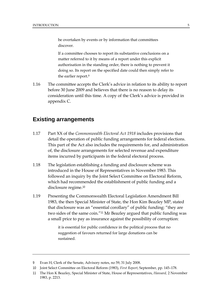be overtaken by events or by information that committees discover.

If a committee chooses to report its substantive conclusions on a matter referred to it by means of a report under this explicit authorisation in the standing order, there is nothing to prevent it doing so. Its report on the specified date could then simply refer to the earlier report.<sup>9</sup>

1.16 The committee accepts the Clerk's advice in relation to its ability to report before 30 June 2009 and believes that there is no reason to delay its consideration until this time. A copy of the Clerk's advice is provided in appendix C.

#### **Existing arrangements**

- 1.17 Part XX of the *Commonwealth Electoral Act 1918* includes provisions that detail the operation of public funding arrangements for federal elections. This part of the Act also includes the requirements for, and administration of, the disclosure arrangements for selected revenue and expenditure items incurred by participants in the federal electoral process.
- 1.18 The legislation establishing a funding and disclosure scheme was introduced in the House of Representatives in November 1983. This followed an inquiry by the Joint Select Committee on Electoral Reform, which had recommended the establishment of public funding and a disclosure regime.<sup>10</sup>
- 1.19 Presenting the Commonwealth Electoral Legislation Amendment Bill 1983, the then Special Minister of State, the Hon Kim Beazley MP, stated that disclosure was an "essential corollary" of public funding: "they are two sides of the same coin."<sup>11</sup> Mr Beazley argued that public funding was a small price to pay as insurance against the possibility of corruption:

it is essential for public confidence in the political process that no suggestion of favours returned for large donations can be sustained.

<sup>9</sup> Evan H, Clerk of the Senate, Advisory notes, no 59, 31 July 2008.

<sup>10</sup> Joint Select Committee on Electoral Reform (1983), *First Report*, September, pp. 145–178.

<sup>11</sup> The Hon K Beazley, Special Minister of State, House of Representatives, *Hansard,* 2 November 1983, p. 2213.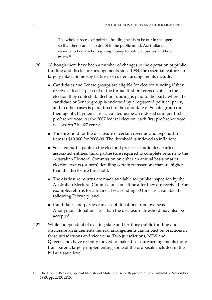The whole process of political funding needs to be out in the open so that there can be no doubt in the public mind. Australians deserve to know who is giving money to political parties and how much.<sup>12</sup>

- 1.20 Although there have been a number of changes to the operation of public funding and disclosure arrangements since 1983, the essential features are largely intact. Some key features of current arrangements include:
	- Candidates and Senate groups are eligible for election funding if they receive at least 4 per cent of the formal first preference votes in the election they contested. Election funding is paid to the party where the candidate or Senate group is endorsed by a registered political party, and in other cases is paid direct to the candidate or Senate group (or their agent). Payments are calculated using an indexed sum per first preference vote. At the 2007 federal election, each first preference vote was worth 210.027 cents;
	- The threshold for the disclosure of certain revenue and expenditure items is \$10,900 for 2008-09. The threshold is indexed to inflation;
	- Selected participants in the electoral process (candidates, parties, associated entities, third parties) are required to complete returns to the Australian Electoral Commission on either an annual basis or after election events (or both) detailing certain transactions that are higher than the disclosure threshold;
	- The disclosure returns are made available for public inspection by the Australian Electoral Commission some time after they are received. For example, returns for a financial year ending 30 June are available the following February; and
	- Candidates and parties can accept donations from overseas. Anonymous donations less than the disclosure threshold may also be accepted.
- 1.21 While independent of existing state and territory public funding and disclosure arrangements, federal arrangements can impact on practices in these jurisdictions and vice versa. Two jurisdictions, NSW and Queensland, have recently moved to make disclosure arrangements more transparent, largely implementing some of the proposals included in the bill at a state level.

<sup>12</sup> The Hon. K Beazley, Special Minister of State, House of Representatives, *Hansard,* 2 November 1983, pp. 2213, 2215.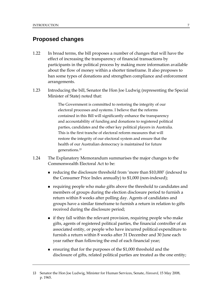#### **Proposed changes**

- 1.22 In broad terms, the bill proposes a number of changes that will have the effect of increasing the transparency of financial transactions by participants in the political process by making more information available about the flow of money within a shorter timeframe. It also proposes to ban some types of donations and strengthen compliance and enforcement arrangements.
- 1.23 Introducing the bill, Senator the Hon Joe Ludwig (representing the Special Minister of State) noted that:

The Government is committed to restoring the integrity of our electoral processes and systems. I believe that the reforms contained in this Bill will significantly enhance the transparency and accountability of funding and donations to registered political parties, candidates and the other key political players in Australia. This is the first tranche of electoral reform measures that will restore the integrity of our electoral system and ensure that the health of our Australian democracy is maintained for future generations.<sup>13</sup>

- 1.24 The Explanatory Memorandum summarises the major changes to the Commonwealth Electoral Act to be:
	- reducing the disclosure threshold from 'more than \$10,000' (indexed to the Consumer Price Index annually) to \$1,000 (non-indexed);
	- **•** requiring people who make gifts above the threshold to candidates and members of groups during the election disclosure period to furnish a return within 8 weeks after polling day. Agents of candidates and groups have a similar timeframe to furnish a return in relation to gifts received during the disclosure period;
	- $\blacksquare$  if they fall within the relevant provision, requiring people who make gifts, agents of registered political parties, the financial controller of an associated entity, or people who have incurred political expenditure to furnish a return within 8 weeks after 31 December and 30 June each year rather than following the end of each financial year;
	- ensuring that for the purposes of the \$1,000 threshold and the disclosure of gifts, related political parties are treated as the one entity;

<sup>13</sup> Senator the Hon Joe Ludwig, Minister for Human Services, Senate, *Hansard*, 15 May 2008, p. 1965.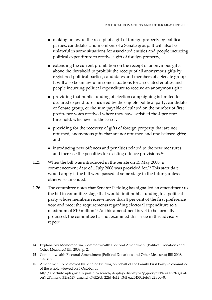- making unlawful the receipt of a gift of foreign property by political parties, candidates and members of a Senate group. It will also be unlawful in some situations for associated entities and people incurring political expenditure to receive a gift of foreign property;
- extending the current prohibition on the receipt of anonymous gifts above the threshold to prohibit the receipt of all anonymous gifts by registered political parties, candidates and members of a Senate group. It will also be unlawful in some situations for associated entities and people incurring political expenditure to receive an anonymous gift;
- **providing that public funding of election campaigning is limited to** declared expenditure incurred by the eligible political party, candidate or Senate group, or the sum payable calculated on the number of first preference votes received where they have satisfied the 4 per cent threshold, whichever is the lesser;
- providing for the recovery of gifts of foreign property that are not returned, anonymous gifts that are not returned and undisclosed gifts; and
- introducing new offences and penalties related to the new measures and increase the penalties for existing offence provisions.<sup>14</sup>
- 1.25 When the bill was introduced in the Senate on 15 May 2008, a commencement date of 1 July 2008 was provided for.<sup>15</sup> This start date would apply if the bill were passed at some stage in the future, unless otherwise amended.
- 1.26 The committee notes that Senator Fielding has signalled an amendment to the bill in committee stage that would limit public funding to a political party whose members receive more than 4 per cent of the first preference vote and meet the requirements regarding electoral expenditure to a maximum of \$10 million.<sup>16</sup> As this amendment is yet to be formally proposed, the committee has not examined this issue in this advisory report.

<sup>14</sup> Explanatory Memorandum, Commonwealth Electoral Amendment (Political Donations and Other Measures) Bill 2008, p. 2.

<sup>15</sup> Commonwealth Electoral Amendment (Political Donations and Other Measures) Bill 2008, clause 2.

<sup>16</sup> Amendment to be moved by Senator Fielding on behalf of the Family First Party in committee of the whole, viewed on 3 October at http://parlinfo.aph.gov.au/parlInfo/search/display/display.w3p;query=Id%3A%22legislati on%2Famend%2Fs627\_amend\_074f29cb-22fd-4c12-a34f-6a25450a26fc%22;rec=0.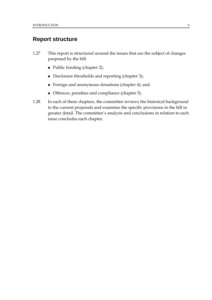#### **Report structure**

- 1.27 This report is structured around the issues that are the subject of changes proposed by the bill:
	- Public funding (chapter 2);
	- Disclosure thresholds and reporting (chapter 3);
	- Foreign and anonymous donations (chapter 4); and
	- Offences, penalties and compliance (chapter 5).
- 1.28 In each of these chapters, the committee reviews the historical background to the current proposals and examines the specific provisions in the bill in greater detail. The committee's analysis and conclusions in relation to each issue concludes each chapter.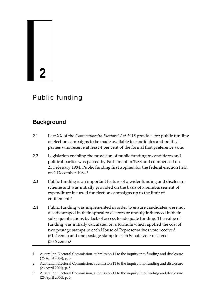# Public funding

#### **Background**

**2** 

- 2.1 Part XX of the *Commonwealth Electoral Act 1918* provides for public funding of election campaigns to be made available to candidates and political parties who receive at least 4 per cent of the formal first preference vote.
- 2.2 Legislation enabling the provision of public funding to candidates and political parties was passed by Parliament in 1983 and commenced on 21 February 1984. Public funding first applied for the federal election held on 1 December 1984.<sup>1</sup>
- 2.3 Public funding is an important feature of a wider funding and disclosure scheme and was initially provided on the basis of a reimbursement of expenditure incurred for election campaigns up to the limit of entitlement.<sup>2</sup>
- 2.4 Public funding was implemented in order to ensure candidates were not disadvantaged in their appeal to electors or unduly influenced in their subsequent actions by lack of access to adequate funding. The value of funding was initially calculated on a formula which applied the cost of two postage stamps to each House of Representatives vote received (61.2 cents) and one postage stamp to each Senate vote received (30.6 cents).<sup>3</sup>

<sup>1</sup> Australian Electoral Commission, submission 11 to the inquiry into funding and disclosure (26 April 2004), p. 5.

<sup>2</sup> Australian Electoral Commission, submission 11 to the inquiry into funding and disclosure (26 April 2004), p. 5.

<sup>3</sup> Australian Electoral Commission, submission 11 to the inquiry into funding and disclosure (26 April 2004), p. 5.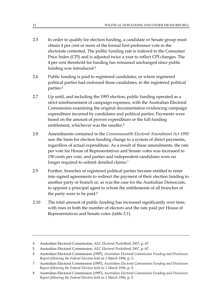- 2.5 In order to qualify for election funding, a candidate or Senate group must obtain 4 per cent or more of the formal first preference vote in the electorate contested. The public funding rate is indexed to the Consumer Price Index (CPI) and is adjusted twice a year to reflect CPI changes. The 4 per cent threshold for funding has remained unchanged since public funding was introduced.<sup>4</sup>
- 2.6 Public funding is paid to registered candidates, or where registered political parties had endorsed those candidates, to the registered political parties.<sup>5</sup>
- 2.7 Up until, and including the 1993 election, public funding operated as a strict reimbursement of campaign expenses, with the Australian Electoral Commission examining the original documentation evidencing campaign expenditure incurred by candidates and political parties.Payments were based on the amount of proven expenditure or the full funding entitlement, whichever was the smaller.<sup>6</sup>
- 2.8 Amendments contained in the *Commonwealth Electoral Amendment Act 1995* saw the basis for election funding change to a system of direct payments, regardless of actual expenditure. As a result of these amendments, the rate per vote for House of Representatives and Senate votes was increased to 150 cents per vote, and parties and independent candidates were no longer required to submit detailed claims.<sup>7</sup>
- 2.9 Further, branches of registered political parties became entitled to enter into signed agreements to redirect the payment of their election funding to another party or branch or, as was the case for the Australian Democrats, to appoint a principal agent to whom the entitlements of all branches of the party were to be paid.<sup>8</sup>
- 2.10 The total amount of public funding has increased significantly over time, with rises in both the number of electors and the rate paid per House of Representatives and Senate votes (table 2.1).

<sup>4</sup> Australian Electoral Commission, *AEC Electoral Pocketbook 2007*, p. 67.

<sup>5</sup> Australian Electoral Commission, *AEC Electoral Pocketbook 2007*, p. 67.

<sup>6</sup> Australian Electoral Commission (1997), *Australian Electoral Commission Funding and Disclosure Report following the Federal Election held on 2 March 1996*, p. 3.

<sup>7</sup> Australian Electoral Commission (1997), *Australian Electoral Commission Funding and Disclosure Report following the Federal Election held on 2 March 1996*, p. 3.

<sup>8</sup> Australian Electoral Commission (1997), *Australian Electoral Commission Funding and Disclosure Report following the Federal Election held on 2 March 1996*, p. 3.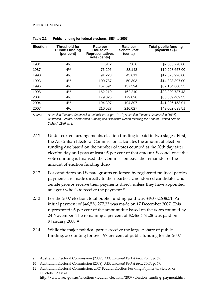| <b>Election</b> | <b>Threshold for</b><br><b>Public Funding</b><br>(per cent) | Rate per<br>House of<br><b>Representatives</b><br>vote (cents) | Rate per<br>Senate vote<br>(cents) | <b>Total public funding</b><br>payments (\$) |  |
|-----------------|-------------------------------------------------------------|----------------------------------------------------------------|------------------------------------|----------------------------------------------|--|
| 1984            | 4%                                                          | 61.2                                                           | 30.6                               | \$7,806,778.00                               |  |
| 1987            | 4%                                                          | 76.296                                                         | 38.148                             | \$10,298,657.00                              |  |
| 1990            | 4%                                                          | 91.223                                                         | 45.611                             | \$12,878,920.00                              |  |
| 1993            | 4%                                                          | 100.787                                                        | 50.393                             | \$14,898,807.00                              |  |
| 1996            | 4%                                                          | 157.594                                                        | 157.594                            | \$32,154,800.55                              |  |
| 1998            | 4%                                                          | 162.210                                                        | 162.210                            | \$33,920,787.43                              |  |
| 2001            | 4%                                                          | 179.026                                                        | 179.026                            | \$38,559,409.33                              |  |
| 2004            | 4%                                                          | 194.397                                                        | 194.397                            | \$41,926,158.91                              |  |
| 2007            | 4%                                                          | 210.027                                                        | 210.027                            | \$49,002,638.51                              |  |

**Table 2.1 Public funding for federal elections, 1984 to 2007** 

*Source Australian Electoral Commission, submission 3, pp. 10–12; Australian Electoral Commission (1997), Australian Electoral Commission Funding and Disclosure Report following the Federal Election held on 2 March 1996, p. 3.* 

- 2.11 Under current arrangements, election funding is paid in two stages. First, the Australian Electoral Commission calculates the amount of election funding due based on the number of votes counted at the 20th day after election day and pays at least 95 per cent of that amount. Second, once the vote counting is finalised, the Commission pays the remainder of the amount of election funding due.<sup>9</sup>
- 2.12 For candidates and Senate groups endorsed by registered political parties, payments are made directly to their parties. Unendorsed candidates and Senate groups receive their payments direct, unless they have appointed an agent who is to receive the payment.<sup>10</sup>
- 2.13 For the 2007 election, total public funding paid was \$49,002,638.51. An initial payment of \$46,536,277.23 was made on 17 December 2007. This represented 95 per cent of the amount due based on the votes counted by 24 November. The remaining 5 per cent of \$2,466,361.28 was paid on 9 January 2008.<sup>11</sup>
- 2.14 While the major political parties receive the largest share of public funding, accounting for over 97 per cent of public funding for the 2007

<sup>9</sup> Australian Electoral Commission (2008), *AEC Electoral Pocket Book 2007*, p. 67.

<sup>10</sup> Australian Electoral Commission (2008), *AEC Electoral Pocket Book 2007*, p. 67.

<sup>11</sup> Australian Electoral Commission, 2007 Federal Election Funding Payments, viewed on 1 October 2008 at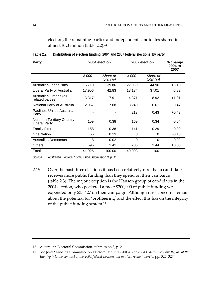election, the remaining parties and independent candidates shared in almost \$1.3 million (table 2.2).<sup>12</sup>

| <b>Party</b>                                              | 2004 election |                          | 2007 election | % change<br>$2004$ to<br>2007 |         |
|-----------------------------------------------------------|---------------|--------------------------|---------------|-------------------------------|---------|
|                                                           | \$'000        | Share of<br>total $(\%)$ | \$'000        | Share of<br>total $(\%)$      |         |
| <b>Australian Labor Party</b>                             | 16,710        | 39.86                    | 22,030        | 44.96                         | $+5.10$ |
| Liberal Party of Australia                                | 17,956        | 42.83                    | 18,134        | 37.01                         | $-5.82$ |
| Australian Greens (all<br>related parties)                | 3,317         | 7.91                     | 4,371         | 8.92                          | $+1.01$ |
| National Party of Australia                               | 2,967         | 7.08                     | 3,240         | 6.61                          | $-0.47$ |
| Pauline's United Australia<br>Party                       |               |                          | 213           | 0.43                          | $+0.43$ |
| <b>Northern Territory Country</b><br><b>Liberal Party</b> | 159           | 0.38                     | 169           | 0.34                          | $-0.04$ |
| <b>Family First</b>                                       | 158           | 0.38                     | 141           | 0.29                          | $-0.09$ |
| <b>One Nation</b>                                         | 56            | 0.13                     | 0             | 0                             | $-0.13$ |
| <b>Australian Democrats</b>                               | 8             | 0.02                     | 0             | 0                             | $-0.02$ |
| <b>Others</b>                                             | 595           | 1.41                     | 705           | 1.44                          | $+0.03$ |
| Total                                                     | 41,926        | 100.00                   | 49,003        | 100                           |         |

**Table 2.2 Distribution of election funding, 2004 and 2007 federal elections, by party** 

*Source Australian Electoral Commission, submission 3, p. 11.* 

2.15 Over the past three elections it has been relatively rare that a candidate receives more public funding than they spend on their campaign (table 2.3). The major exception is the Hanson group of candidates in the 2004 election, who pocketed almost \$200,000 of public funding yet expended only \$35,427 on their campaign. Although rare, concerns remain about the potential for 'profiteering' and the effect this has on the integrity of the public funding system.<sup>13</sup>

<sup>12</sup> Australian Electoral Commission, submission 3, p. 2.

<sup>13</sup> See Joint Standing Committee on Electoral Matters (2005), *The 2004 Federal Election: Report of the Inquiry into the conduct of the 2004 federal election and matters related thereto*, pp. 325–327.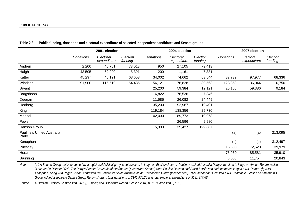|                                     | 2001 election    |                          |                     |                  | 2004 election            |                     |                  | 2007 election            |                     |  |
|-------------------------------------|------------------|--------------------------|---------------------|------------------|--------------------------|---------------------|------------------|--------------------------|---------------------|--|
|                                     | <b>Donations</b> | Electoral<br>expenditure | Election<br>funding | <b>Donations</b> | Electoral<br>expenditure | Election<br>funding | <b>Donations</b> | Electoral<br>expenditure | Election<br>funding |  |
| Andren                              | 2,200            | 40,761                   | 73,018              | 950              | 27,105                   | 79,413              |                  |                          |                     |  |
| Haigh                               | 43,505           | 62,000                   | 8,301               | 200              | 1,161                    | 7,381               |                  |                          |                     |  |
| Katter                              | 45,297           | 40,121                   | 63,653              | 34,002           | 74,662                   | 63,544              | 82,732           | 97,977                   | 68,336              |  |
| Windsor                             | 91,900           | 115,519                  | 64,435              | 56,121           | 76,828                   | 89,563              | 123,850          | 136,044                  | 110,756             |  |
| <b>Bryant</b>                       |                  |                          |                     | 25,200           | 59,384                   | 12,121              | 20,150           | 59,386                   | 9,184               |  |
| Bargshoon                           |                  |                          |                     | 116,822          | 76,536                   | 7,346               |                  |                          |                     |  |
| Deegan                              |                  |                          |                     | 11,585           | 26,082                   | 24,449              |                  |                          |                     |  |
| Hedberg                             |                  |                          |                     | 35,200           | 92,967                   | 19,401              |                  |                          |                     |  |
| King                                |                  |                          |                     | 119,184          | 138,356                  | 25,730              |                  |                          |                     |  |
| Menzel                              |                  |                          |                     | 102,030          | 89,773                   | 10,978              |                  |                          |                     |  |
| Power                               |                  |                          |                     |                  | 26,596                   | 9,980               |                  |                          |                     |  |
| Hanson Group                        |                  |                          |                     | 5,000            | 35,427                   | 199,887             |                  |                          |                     |  |
| Pauline's United Australia<br>Party |                  |                          |                     |                  |                          |                     | (a)              | (a)                      | 213,095             |  |
| Xenophon                            |                  |                          |                     |                  |                          |                     | (b)              | (b)                      | 312,497             |  |
| Priestley                           |                  |                          |                     |                  |                          |                     | 15,500           | 72,520                   | 39,979              |  |
| Horan                               |                  |                          |                     |                  |                          |                     | 73,930           | 85,581                   | 35,910              |  |
| <b>Brunning</b>                     |                  |                          |                     |                  |                          |                     | 5,050            | 11,754                   | 20,843              |  |

**Table 2.3 Public funding, donations and electoral expenditure of selected independent candidates and Senate groups** 

*Note (a ) A Senate Group that is endorsed by a registered Political party is not required to lodge an Election Return. Pauline's United Australia Party is required to lodge an Annual Return, which is due on 20 October 2008. The Party's Senate Group Members (for the Queensland Senate) were Pauline Hanson and David Saville and both members lodged a NIL Return. (b) Nick Xenophon, along with Roger Bryson, contested the Senate for South Australia as an Unendorsed Group (Independent). Nick Xenophon submitted a NIL Candidate Election Return and his Group lodged a separate Senate Group Return showing total donations of \$141,976.30 and total electoral expenditure of \$181,877.66.* 

*Source Australian Electoral Commission (2005), Funding and Disclosure Report Election 2004, p. 11; submission 3, p. 18.*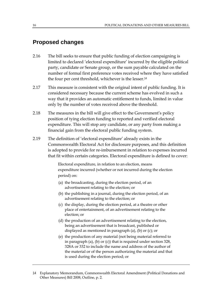#### **Proposed changes**

- 2.16 The bill seeks to ensure that public funding of election campaigning is limited to declared 'electoral expenditure' incurred by the eligible political party, candidate or Senate group, or the sum payable calculated on the number of formal first preference votes received where they have satisfied the four per cent threshold, whichever is the lesser.<sup>14</sup>
- 2.17 This measure is consistent with the original intent of public funding. It is considered necessary because the current scheme has evolved in such a way that it provides an automatic entitlement to funds, limited in value only by the number of votes received above the threshold.
- 2.18 The measures in the bill will give effect to the Government's policy position of tying election funding to reported and verified electoral expenditure. This will stop any candidate, or any party from making a financial gain from the electoral public funding system.
- 2.19 The definition of 'electoral expenditure' already exists in the Commonwealth Electoral Act for disclosure purposes, and this definition is adopted to provide for re-imbursement in relation to expenses incurred that fit within certain categories. Electoral expenditure is defined to cover:

Electoral expenditure, in relation to an election, means expenditure incurred (whether or not incurred during the election period) on:

- (a) the broadcasting, during the election period, of an advertisement relating to the election; or
- (b) the publishing in a journal, during the election period, of an advertisement relating to the election; or
- (c) the display, during the election period, at a theatre or other place of entertainment, of an advertisement relating to the election; or
- (d) the production of an advertisement relating to the election, being an advertisement that is broadcast, published or displayed as mentioned in paragraph (a), (b) or (c); or
- (e) the production of any material (not being material referred to in paragraph (a), (b) or (c)) that is required under section 328, 328A or 332 to include the name and address of the author of the material or of the person authorizing the material and that is used during the election period; or

<sup>14</sup> Explanatory Memorandum, Commonwealth Electoral Amendment (Political Donations and Other Measures) Bill 2008, Outline, p. 2.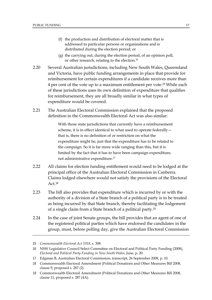- (f) the production and distribution of electoral matter that is addressed to particular persons or organisations and is distributed during the election period; or
- (g) the carrying out, during the election period, of an opinion poll, or other research, relating to the election.<sup>15</sup>
- 2.20 Several Australian jurisdictions, including New South Wales, Queensland and Victoria, have public funding arrangements in place that provide for reimbursement for certain expenditures if a candidate receives more than 4 per cent of the vote up to a maximum entitlement per vote.<sup>16</sup> While each of these jurisdictions uses its own definition of expenditure that qualifies for reimbursement, they are all broadly similar in what types of expenditure would be covered.
- 2.21 The Australian Electoral Commission explained that the proposed definition in the Commonwealth Electoral Act was also similar:

With those state jurisdictions that currently have a reimbursement scheme, it is in effect identical to what used to operate federally that is, there is no definition of or restriction on what the expenditure might be, just that the expenditure has to be related to the campaign. So it is far more wide ranging than this, but it is limited by the fact that it has to have been campaign expenditure, not administrative expenditure.<sup>17</sup>

- 2.22 All claims for election funding entitlement would need to be lodged at the principal office of the Australian Electoral Commission in Canberra. Claims lodged elsewhere would not satisfy the provisions of the Electoral Act.<sup>18</sup>
- 2.23 The bill also provides that expenditure which is incurred by or with the authority of a division of a State branch of a political party is to be treated as being incurred by that State branch, thereby facilitating the lodgement of a single claim from a State branch of a political party.<sup>19</sup>
- 2.24 In the case of joint Senate groups, the bill provides that an agent of one of the registered political parties which have endorsed the candidates in the group, must, before polling day, give the Australian Electoral Commission

<sup>15</sup> *Commonwealth Electoral Act 1918*, s. 308.

<sup>16</sup> NSW Legislative Council Select Committee on Electoral and Political Party Funding (2008), *Electoral and Political Party Funding in New South Wales*, June, p. 20.

<sup>17</sup> Edgman B, Australian Electoral Commission, transcript, 26 September 2008, p. 10.

<sup>18</sup> Commonwealth Electoral Amendment (Political Donations and Other Measures Bill 2008, clause 9, proposed s. 287 (2).

<sup>19</sup> Commonwealth Electoral Amendment (Political Donations and Other Measures Bill 2008, clause 11, proposed s. 287 (4A).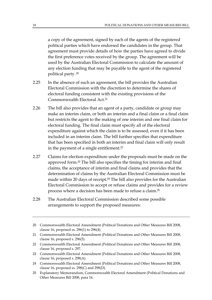a copy of the agreement, signed by each of the agents of the registered political parties which have endorsed the candidates in the group. That agreement must provide details of how the parties have agreed to divide the first preference votes received by the group. The agreement will be used by the Australian Electoral Commission to calculate the amount of any election funding that may be payable to the agent of the registered political party.<sup>20</sup>

- 2.25 In the absence of such an agreement, the bill provides the Australian Electoral Commission with the discretion to determine the shares of electoral funding consistent with the existing provisions of the Commonwealth Electoral Act.<sup>21</sup>
- 2.26 The bill also provides that an agent of a party, candidate or group may make an interim claim, or both an interim and a final claim or a final claim but restricts the agent to the making of one interim and one final claim for electoral funding. The final claim must specify all of the electoral expenditure against which the claim is to be assessed, even if it has been included in an interim claim. The bill further specifies that expenditure that has been specified in both an interim and final claim will only result in the payment of a single entitlement.<sup>22</sup>
- 2.27 Claims for election expenditure under the proposals must be made on the approved form.<sup>23</sup> The bill also specifies the timing for interim and final claims, the acceptance of interim and final claims and provides that the determination of claims by the Australian Electoral Commission must be made within 20 days of receipt.<sup>24</sup> The bill also provides for the Australian Electoral Commission to accept or refuse claims and provides for a review process where a decision has been made to refuse a claim.<sup>25</sup>
- 2.28 The Australian Electoral Commission described some possible arrangements to support the proposed measures:

<sup>20</sup> Commonwealth Electoral Amendment (Political Donations and Other Measures Bill 2008, clause 16, proposed ss. 296(1) to 296(4).

<sup>21</sup> Commonwealth Electoral Amendment (Political Donations and Other Measures Bill 2008, clause 16, proposed s. 296(5).

<sup>22</sup> Commonwealth Electoral Amendment (Political Donations and Other Measures Bill 2008, clause 16, proposed s. 297.

<sup>23</sup> Commonwealth Electoral Amendment (Political Donations and Other Measures Bill 2008, clause 16, proposed s. 298(A).

<sup>24</sup> Commonwealth Electoral Amendment (Political Donations and Other Measures Bill 2008, clause 16, proposed ss. 298(C) and 298(D).

<sup>25</sup> Explanatory Memorandum, Commonwealth Electoral Amendment (Political Donations and Other Measures Bill 2008, para 16.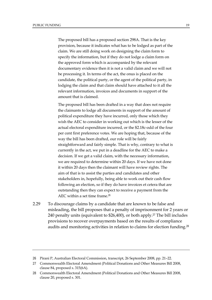The proposed bill has a proposed section 298A. That is the key provision, because it indicates what has to be lodged as part of the claim. We are still doing work on designing the claim form to specify the information, but if they do not lodge a claim form on the approved form which is accompanied by the relevant documentary evidence then it is not a valid claim and we will not be processing it. In terms of the act, the onus is placed on the candidate, the political party, or the agent of the political party, in lodging the claim and that claim should have attached to it all the relevant information, invoices and documents in support of the amount that is claimed.

The proposed bill has been drafted in a way that does not require the claimants to lodge all documents in support of the amount of political expenditure they have incurred, only those which they wish the AEC to consider in working out which is the lesser of the actual electoral expenditure incurred, or the \$2.18c-odd of the four per cent first preference votes. We are hoping that, because of the way the bill has been drafted, our role will be fairly straightforward and fairly simple. That is why, contrary to what is currently in the act, we put in a deadline for the AEC to make a decision. If we get a valid claim, with the necessary information, we are required to determine within 20 days. If we have not done it within 20 days then the claimant will have review rights. The aim of that is to assist the parties and candidates and other stakeholders in, hopefully, being able to work out their cash flow following an election, so if they do have invoices et cetera that are outstanding then they can expect to receive a payment from the AEC within a set time frame.<sup>26</sup>

2.29 To discourage claims by a candidate that are known to be false and misleading, the bill proposes that a penalty of imprisonment for 2 years or 240 penalty units (equivalent to \$26,400), or both apply.<sup>27</sup> The bill includes provisions to recover overpayments based on the results of compliance audits and monitoring activities in relation to claims for election funding.<sup>28</sup>

<sup>26</sup> Pirani P, Australian Electoral Commission, transcript, 26 September 2008, pp. 21–22.

<sup>27</sup> Commonwealth Electoral Amendment (Political Donations and Other Measures Bill 2008, clause 84, proposed s. 315(6A).

<sup>28</sup> Commonwealth Electoral Amendment (Political Donations and Other Measures Bill 2008, clause 20, proposed s. 301.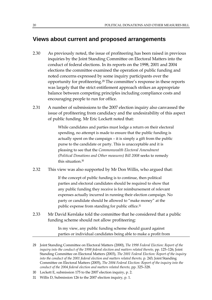# **Views about current and proposed arrangements**

- 2.30 As previously noted, the issue of profiteering has been raised in previous inquiries by the Joint Standing Committee on Electoral Matters into the conduct of federal elections. In its reports on the 1998, 2001 and 2004 elections the committee examined the operation of public funding and noted concerns expressed by some inquiry participants over the opportunity for profiteering.<sup>29</sup> The committee's response in these reports was largely that the strict entitlement approach strikes an appropriate balance between competing principles including compliance costs and encouraging people to run for office.
- 2.31 A number of submissions to the 2007 election inquiry also canvassed the issue of profiteering from candidacy and the undesirability of this aspect of public funding. Mr Eric Lockett noted that:

While candidates and parties must lodge a return on their electoral spending, no attempt is made to ensure that the public funding is actually spent on the campaign – it is simply a gift from the public purse to the candidate or party. This is unacceptable and it is pleasing to see that the *Commonwealth Electoral Amendment (Political Donations and Other measures) Bill 2008* seeks to remedy this situation 30

2.32 This view was also supported by Mr Don Willis, who argued that:

If the concept of public funding is to continue, then political parties and electoral candidates should be required to show that any public funding they receive is for reimbursement of relevant expenses actually incurred in running their election campaign. No party or candidate should be allowed to "make money" at the public expense from standing for public office.<sup>31</sup>

2.33 Mr David Kerslake told the committee that he considered that a public funding scheme should not allow profiteering:

> In my view, any public funding scheme should guard against parties or individual candidates being able to make a profit from

31 Willis D, Submission 126 to the 2007 election inquiry, p. 1.

<sup>29</sup> Joint Standing Committee on Electoral Matters (2000), *The 1998 Federal Election: Report of the inquiry into the conduct of the 1998 federal election and matters related thereto,* pp. 125–126; Joint Standing Committee on Electoral Matters (2003), *The 2001 Federal Election: Report of the inquiry into the conduct of the 2001 federal election and matters related thereto,* p. 243; Joint Standing Committee on Electoral Matters (2005), *The 2004 Federal Election: Report of the inquiry into the conduct of the 2004 federal election and matters related thereto,* pp. 325–328.

<sup>30</sup> Lockett E, submission 175 to the 2007 election inquiry, p. 2.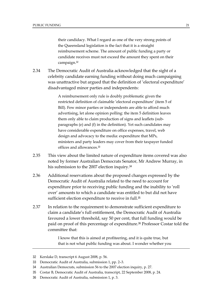their candidacy. What I regard as one of the very strong points of the Queensland legislation is the fact that it is a straight reimbursement scheme. The amount of public funding a party or candidate receives must not exceed the amount they spent on their campaign.<sup>32</sup>

2.34 The Democratic Audit of Australia acknowledged that the sight of a celebrity candidate earning funding without doing much campaigning was unattractive but argued that the definition of 'electoral expenditure' disadvantaged minor parties and independents:

> A reimbursement only rule is doubly problematic given the restricted definition of claimable 'electoral expenditure' (item 5 of Bill). Few minor parties or independents are able to afford much advertising, let alone opinion polling: the item 5 definition leaves them only able to claim production of signs and leaflets (subparagraphs (e) and (f) in the definition). Yet such candidates may have considerable expenditure on office expenses, travel, web design and advocacy to the media: expenditure that MPs, ministers and party leaders may cover from their taxpayer funded offices and allowances.<sup>33</sup>

- 2.35 This view about the limited nature of expenditure items covered was also noted by former Australian Democrats Senator, Mr Andrew Murray, in his submission to the 2007 election inquiry.<sup>34</sup>
- 2.36 Additional reservations about the proposed changes expressed by the Democratic Audit of Australia related to the need to account for expenditure prior to receiving public funding and the inability to 'roll over' amounts to which a candidate was entitled to but did not have sufficient election expenditure to receive in full.<sup>35</sup>
- 2.37 In relation to the requirement to demonstrate sufficient expenditure to claim a candidate's full entitlement, the Democratic Audit of Australia favoured a lower threshold, say 50 per cent, that full funding would be paid on proof of this percentage of expenditure.<sup>36</sup> Professor Costar told the committee that:

I know that this is aimed at profiteering, and it is quite true, but that is not what public funding was about. I wonder whether you

<sup>32</sup> Kerslake D, transcript 6 August 2008, p. 56.

<sup>33</sup> Democratic Audit of Australia, submission 1, pp. 2–3.

<sup>34</sup> Australian Democrats, submission 56 to the 2007 election inquiry, p. 27.

<sup>35</sup> Costar B, Democratic Audit of Australia, transcript, 22 September 2008, p. 24.

<sup>36</sup> Democratic Audit of Australia, submission 1, p. 3.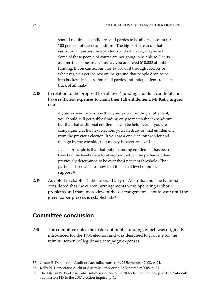should require all candidates and parties to be able to account for 100 per cent of their expenditure. The big parties can do that easily. Small parties, Independents and whatever, maybe not. Some of these people of course are not going to be able to. Let us assume that some are. Let us say you are owed \$10,000 of public funding. If you can account for \$9,000 of it through receipts or whatever, you get the rest on the ground that people drop coins into buckets. It is hard for small parties and Independents to keep track of all that.<sup>37</sup>

2.38 In relation to the proposal to 'roll over' funding should a candidate not have sufficient expenses to claim their full entitlement, Mr Kelly argued that:

> if your expenditure is less than your public funding entitlement, you should still get public funding only to match that expenditure, but that that additional entitlement can be held over. If you are campaigning at the next election, you can draw on that entitlement from the previous election. If you are a one-election wonder and then go by the wayside, that money is never received.

… The principle is that that public funding entitlement has been based on the level of electoral support, which the parliament has previously determined to be over the 4 per cent threshold. That party has been able to show that it has that level of public support.<sup>38</sup>

2.39 As noted in chapter 1, the Liberal Party of Australia and The Nationals considered that the current arrangements were operating without problems and that any review of these arrangements should wait until the green paper process is established.<sup>39</sup>

# **Committee conclusion**

2.40 The committee notes the history of public funding, which was originally introduced for the 1984 election and was designed to provide for the reimbursement of legitimate campaign expenses.

<sup>37</sup> Costar B, Democratic Audit of Australia, transcript, 22 September 2008, p. 24.

<sup>38</sup> Kelly N, Democratic Audit of Australia, transcript, 22 September 2008, p. 24.

<sup>39</sup> The Liberal Party of Australia, submission 156 to the 2007 election inquiry, p. 2; The Nationals, submission 145 to the 2007 election inquiry, p. 1.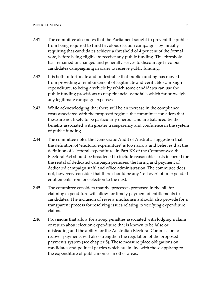- 2.41 The committee also notes that the Parliament sought to prevent the public from being required to fund frivolous election campaigns, by initially requiring that candidates achieve a threshold of 4 per cent of the formal vote, before being eligible to receive any public funding. This threshold has remained unchanged and generally serves to discourage frivolous candidates campaigning in order to receive public funding.
- 2.42 It is both unfortunate and undesirable that public funding has moved from providing a reimbursement of legitimate and verifiable campaign expenditure, to being a vehicle by which some candidates can use the public funding provisions to reap financial windfalls which far outweigh any legitimate campaign expenses.
- 2.43 While acknowledging that there will be an increase in the compliance costs associated with the proposed regime, the committee considers that these are not likely to be particularly onerous and are balanced by the benefits associated with greater transparency and confidence in the system of public funding.
- 2.44 The committee notes the Democratic Audit of Australia suggestion that the definition of 'electoral expenditure' is too narrow and believes that the definition of 'electoral expenditure' in Part XX of the Commonwealth Electoral Act should be broadened to include reasonable costs incurred for the rental of dedicated campaign premises, the hiring and payment of dedicated campaign staff, and office administration. The committee does not, however, consider that there should be any 'roll over' of unexpended entitlements from one election to the next.
- 2.45 The committee considers that the processes proposed in the bill for claiming expenditure will allow for timely payment of entitlements to candidates. The inclusion of review mechanisms should also provide for a transparent process for resolving issues relating to verifying expenditure claims.
- 2.46 Provisions that allow for strong penalties associated with lodging a claim or return about election expenditure that is known to be false or misleading and the ability for the Australian Electoral Commission to recover payments will also strengthen the regulation of the proposed payments system (see chapter 5). These measure place obligations on candidates and political parties which are in line with those applying to the expenditure of public monies in other areas.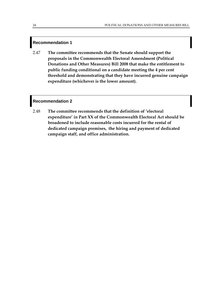#### **Recommendation 1**

2.47 **The committee recommends that the Senate should support the proposals in the Commonwealth Electoral Amendment (Political Donations and Other Measures) Bill 2008 that make the entitlement to public funding conditional on a candidate meeting the 4 per cent threshold and demonstrating that they have incurred genuine campaign expenditure (whichever is the lower amount).** 

#### **Recommendation 2**

2.48 **The committee recommends that the definition of 'electoral expenditure' in Part XX of the Commonwealth Electoral Act should be broadened to include reasonable costs incurred for the rental of dedicated campaign premises, the hiring and payment of dedicated campaign staff, and office administration.**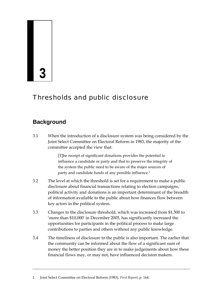# **3**

# Thresholds and public disclosure

# **Background**

3.1 When the introduction of a disclosure system was being considered by the Joint Select Committee on Electoral Reform in 1983, the majority of the committee accepted the view that:

> [T]he receipt of significant donations provides the potential to influence a candidate or party and that to preserve the integrity of the system the public need to be aware of the major sources of party and candidate funds of any possible influence.<sup>1</sup>

- 3.2 The level at which the threshold is set for a requirement to make a public disclosure about financial transactions relating to election campaigns, political activity and donations is an important determinant of the breadth of information available to the public about how finances flow between key actors in the political system.
- 3.3 Changes to the disclosure threshold, which was increased from \$1,500 to 'more than \$10,000' in December 2005, has significantly increased the opportunities for participants in the political process to make large contributions to parties and others without any public knowledge.
- 3.4 The timeliness of disclosure to the public is also important. The earlier that the community can be informed about the flow of a significant sum of money the better position they are in to make judgements about how these financial flows may, or may not, have influenced decision makers.

<sup>1</sup> Joint Select Committee on Electoral Reform (1983), *First Report*, p. 164.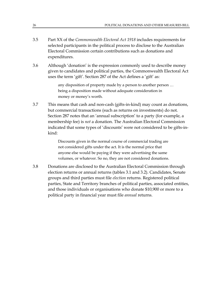- 3.5 Part XX of the *Commonwealth Electoral Act 1918* includes requirements for selected participants in the political process to disclose to the Australian Electoral Commission certain contributions such as donations and expenditures.
- 3.6 Although 'donation' is the expression commonly used to describe money given to candidates and political parties, the Commonwealth Electoral Act uses the term 'gift'. Section 287 of the Act defines a 'gift' as:

any disposition of property made by a person to another person … being a disposition made without adequate consideration in money or money's worth.

3.7 This means that cash and non-cash (gifts-in-kind) may count as donations, but commercial transactions (such as returns on investments) do not. Section 287 notes that an 'annual subscription' to a party (for example, a membership fee) is *not* a donation. The Australian Electoral Commission indicated that some types of 'discounts' were not considered to be gifts-inkind:

> Discounts given in the normal course of commercial trading are not considered gifts under the act. It is the normal price that anyone else would be paying if they were advertising the same volumes, or whatever. So no, they are not considered donations.

3.8 Donations are disclosed to the Australian Electoral Commission through election returns or annual returns (tables 3.1 and 3.2). Candidates, Senate groups and third parties must file *election* returns. Registered political parties, State and Territory branches of political parties, associated entities, and those individuals or organisations who donate \$10,900 or more to a political party in financial year must file *annual* returns.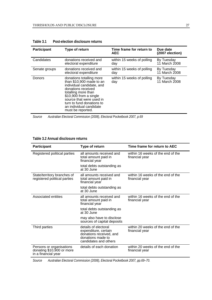| <b>Participant</b> | Type of return                                                                                                                                                                                                                                                    | Time frame for return to<br><b>AEC</b> | Due date<br>(2007 election) |
|--------------------|-------------------------------------------------------------------------------------------------------------------------------------------------------------------------------------------------------------------------------------------------------------------|----------------------------------------|-----------------------------|
| Candidates         | donations received and<br>electoral expenditure                                                                                                                                                                                                                   | within 15 weeks of polling<br>day      | By Tuesday<br>11 March 2008 |
| Senate groups      | donations received and<br>electoral expenditure                                                                                                                                                                                                                   | within 15 weeks of polling<br>day      | By Tuesday<br>11 March 2008 |
| Donors             | donations totalling more<br>than \$10,900 made to an<br>individual candidate, and<br>donations received<br>totalling more than<br>\$10,900 from a single<br>source that were used in<br>turn to fund donations to<br>an individual candidate<br>must be reported. | within 15 weeks of polling<br>day      | By Tuesday<br>11 March 2008 |

| Table 3.1 | Post-election disclosure returns |  |
|-----------|----------------------------------|--|
|           |                                  |  |

*Source Australian Electoral Commission (2008), Electoral Pocketbook 2007, p.69* 

#### **Table 3.2 Annual disclosure returns**

| <b>Participant</b>                                                           | Type of return                                                                                                        | Time frame for return to AEC                        |
|------------------------------------------------------------------------------|-----------------------------------------------------------------------------------------------------------------------|-----------------------------------------------------|
| Registered political parties                                                 | all amounts received and<br>total amount paid in<br>financial year                                                    | within 16 weeks of the end of the<br>financial year |
|                                                                              | total debts outstanding as<br>at 30 June                                                                              |                                                     |
| State/territory branches of<br>registered political parties                  | all amounts received and<br>total amount paid in<br>financial year                                                    | within 16 weeks of the end of the<br>financial year |
|                                                                              | total debts outstanding as<br>at 30 June                                                                              |                                                     |
| Associated entities                                                          | all amounts received and<br>total amount paid in<br>financial year                                                    | within 16 weeks of the end of the<br>financial year |
|                                                                              | total debts outstanding as<br>at 30 June                                                                              |                                                     |
|                                                                              | may also have to disclose<br>sources of capital deposits                                                              |                                                     |
| Third parties                                                                | details of electoral<br>expenditure, certain<br>donations received, and<br>donations made to<br>candidates and others | within 20 weeks of the end of the<br>financial year |
| Persons or organisations<br>donating \$10,900 or more<br>in a financial year | details of each donation                                                                                              | within 20 weeks of the end of the<br>financial year |

*Source Australian Electoral Commission (2008), Electoral Pocketbook 2007, pp.69–70.*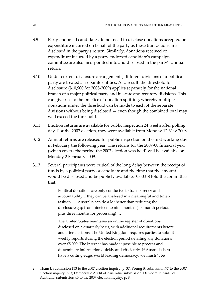- 3.9 Party-endorsed candidates do not need to disclose donations accepted or expenditure incurred on behalf of the party as these transactions are disclosed in the party's return. Similarly, donations received or expenditure incurred by a party-endorsed candidate's campaign committee are also incorporated into and disclosed in the party's annual return.
- 3.10 Under current disclosure arrangements, different divisions of a political party are treated as separate entities. As a result, the threshold for disclosure (\$10,900 for 2008-2009) applies separately for the national branch of a major political party and its state and territory divisions. This can give rise to the practice of donation splitting, whereby multiple donations under the threshold can be made to each of the separate divisions without being disclosed — even though the combined total may well exceed the threshold.
- 3.11 Election returns are available for public inspection 24 weeks after polling day. For the 2007 election, they were available from Monday 12 May 2008.
- 3.12 Annual returns are released for public inspection on the first working day in February the following year. The returns for the 2007-08 financial year (which covers the period the 2007 election was held) will be available on Monday 2 February 2009.
- 3.13 Several participants were critical of the long delay between the receipt of funds by a political party or candidate and the time that the amount would be disclosed and be publicly available.<sup>2</sup> GetUp! told the committee that:

Political donations are only conducive to transparency and accountability if they can be analysed in a meaningful and timely fashion. … Australia can do a lot better than reducing the disclosure gap from nineteen to nine months (six month periods plus three months for processing) …

The United States maintains an online register of donations disclosed on a quarterly basis, with additional requirements before and after elections. The United Kingdom requires parties to submit weekly reports during the election period detailing any donations over £5,000. The Internet has made it possible to process and disseminate information quickly and efficiently. If Australia is to have a cutting edge, world leading democracy, we mustn't be

<sup>2</sup> Tham J, submission 133 to the 2007 election inquiry, p. 37; Young S, submission 77 to the 2007 election inquiry, p. 3; Democratic Audit of Australia, submission Democratic Audit of Australia, submission 45 to the 2007 election inquiry, p. 8.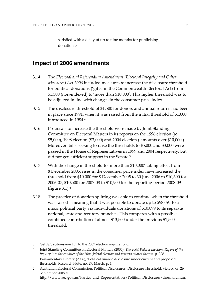satisfied with a delay of up to nine months for publicising donations.<sup>3</sup>

# **Impact of 2006 amendments**

- 3.14 The *Electoral and Referendum Amendment (Electoral Integrity and Other Measures) Act 2006* included measures to increase the disclosure threshold for political donations ('gifts' in the Commonwealth Electoral Act) from \$1,500 (non-indexed) to 'more than \$10,000'. This higher threshold was to be adjusted in line with changes in the consumer price index.
- 3.15 The disclosure threshold of \$1,500 for donors and annual returns had been in place since 1991, when it was raised from the initial threshold of \$1,000, introduced in 1984.<sup>4</sup>
- 3.16 Proposals to increase the threshold were made by Joint Standing Committee on Electoral Matters in its reports on the 1996 election (to \$5,000), 1998 election (\$3,000) and 2004 election ('amounts over \$10,000'). Moreover, bills seeking to raise the thresholds to \$5,000 and \$3,000 were passed in the House of Representatives in 1999 and 2004 respectively, but did not get sufficient support in the Senate.<sup>5</sup>
- 3.17 With the change in threshold to 'more than \$10,000' taking effect from 8 December 2005, rises in the consumer price index have increased the threshold from \$10,000 for 8 December 2005 to 30 June 2006 to \$10,300 for 2006-07, \$10,500 for 2007-08 to \$10,900 for the reporting period 2008-09 (figure  $3.1$ ).<sup>6</sup>
- 3.18 The practice of donation splitting was able to continue when the threshold was raised – meaning that it was possible to donate up to \$98,091 to a major political party via individuals donations of \$10,899 to its separate national, state and territory branches. This compares with a possible combined contribution of almost \$13,500 under the previous \$1,500 threshold.

<sup>3</sup> GetUp!, submission 155 to the 2007 election inquiry, p. 6.

<sup>4</sup> Joint Standing Committee on Electoral Matters (2005), *The 2004 Federal Election: Report of the inquiry into the conduct of the 2004 federal election and matters related thereto,* p. 328.

<sup>5</sup> Parliamentary Library (2006), 'Political finance disclosure under current and proposed thresholds, Research Note, no. 27, March, p. 1.

<sup>6</sup> Australian Electoral Commission, Political Disclosures: Disclosure Threshold, viewed on 26 September 2008 at http://www.aec.gov.au/Parties\_and\_Representatives/Political\_Disclosures/threshold.htm.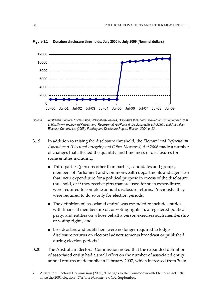

#### **Figure 3.1 Donation disclosure thresholds, July 2000 to July 2009 (Nominal dollars)**

*Source Australian Electoral Commission, Political disclosures, Disclosure thresholds, viewed on 10 September 2008 at http://www.aec.gov.au/Parties\_and\_Representatives/Political\_Disclosures/threshold.htm and Australian Electoral Commission (2005), Funding and Disclosure Report: Election 2004, p. 12.* 

- 3.19 In addition to raising the disclosure threshold, the *Electoral and Referendum Amendment (Electoral Integrity and Other Measures) Act 2006* made a number of changes that affected the quantity and timeliness of disclosures for some entities including:
	- Third parties (persons other than parties, candidates and groups, members of Parliament and Commonwealth departments and agencies) that incur expenditure for a political purpose in excess of the disclosure threshold, or if they receive gifts that are used for such expenditure, were required to complete annual disclosure returns. Previously, they were required to do so only for election periods;
	- The definition of 'associated entity' was extended to include entities with financial membership of, or voting rights in, a registered political party, and entities on whose behalf a person exercises such membership or voting rights; and
	- Broadcasters and publishers were no longer required to lodge disclosure returns on electoral advertisements broadcast or published during election periods.<sup>7</sup>
- 3.20 The Australian Electoral Commission noted that the expanded definition of associated entity had a small effect on the number of associated entity annual returns made public in February 2007, which increased from 70 in

<sup>7</sup> Australian Electoral Commission (2007), 'Changes to the Commonwealth Electoral Act 1918 since the 2004 election', *Electoral Newsfile*, no 132, September.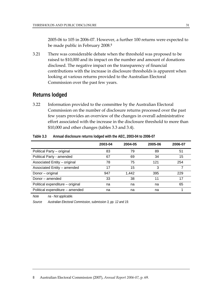2005-06 to 105 in 2006-07. However, a further 100 returns were expected to be made public in February 2008.<sup>8</sup>

3.21 There was considerable debate when the threshold was proposed to be raised to \$10,000 and its impact on the number and amount of donations disclosed. The negative impact on the transparency of financial contributions with the increase in disclosure thresholds is apparent when looking at various returns provided to the Australian Electoral Commission over the past few years.

# **Returns lodged**

3.22 Information provided to the committee by the Australian Electoral Commission on the number of disclosure returns processed over the past few years provides an overview of the changes in overall administrative effort associated with the increase in the disclosure threshold to more than \$10,000 and other changes (tables 3.3 and 3.4).

|                                  | 2003-04 | 2004-05 | 2005-06 | 2006-07 |
|----------------------------------|---------|---------|---------|---------|
| Political Party - original       | 83      | 79      | 89      | 51      |
| Political Party - amended        | 67      | 69      | 34      | 15      |
| Associated Entity - original     | 78      | 75      | 121     | 254     |
| Associated Entity - amended      | 17      | 15      | 3       |         |
| Donor - original                 | 947     | 1.442   | 395     | 229     |
| Donor – amended                  | 33      | 38      | 11      | 17      |
| Political expenditure - original | na      | na      | na      | 65      |
| Political expenditure - amended  | na      | na      | na      |         |

**Table 3.3 Annual disclosure returns lodged with the AEC, 2003-04 to 2006-07** 

*Note na - Not applicable.* 

*Source Australian Electoral Commission, submission 3, pp. 12 and 19.*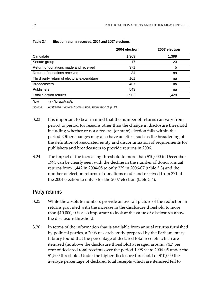|                                             | 2004 election | 2007 election |
|---------------------------------------------|---------------|---------------|
| Candidate                                   | 1,369         | 1,399         |
| Senate group                                | 17            | 23            |
| Return of donations made and received       | 371           | 5             |
| Return of donations received                | 34            | na            |
| Third party return of electoral expenditure | 161           | na            |
| <b>Broadcasters</b>                         | 467           | na            |
| <b>Publishers</b>                           | 543           | na            |
| Total election returns                      | 2,962         | 1,428         |

| Table 3.4 | Election returns received, 2004 and 2007 elections |  |  |
|-----------|----------------------------------------------------|--|--|
|           |                                                    |  |  |

*Note na - Not applicable.* 

*Source Australian Electoral Commission, submission 3, p. 13.* 

- 3.23 It is important to bear in mind that the number of returns can vary from period to period for reasons other than the change in disclosure threshold including whether or not a federal (or state) election falls within the period. Other changes may also have an effect such as the broadening of the definition of associated entity and discontinuation of requirements for publishers and broadcasters to provide returns in 2006.
- 3.24 The impact of the increasing threshold to more than \$10,000 in December 1995 can be clearly seen with the decline in the number of donor annual returns from 1,442 in 2004-05 to only 229 in 2006-07 (table 3.3) and the number of election returns of donations made and received from 371 at the 2004 election to only 5 for the 2007 election (table 3.4).

# **Party returns**

- 3.25 While the absolute numbers provide an overall picture of the reduction in returns provided with the increase in the disclosure threshold to more than \$10,000, it is also important to look at the value of disclosures above the disclosure threshold.
- 3.26 In terms of the information that is available from annual returns furnished by political parties, a 2006 research study prepared by the Parliamentary Library found that the percentage of declared total receipts which are itemised (ie: above the disclosure threshold) averaged around 74.7 per cent of declared total receipts over the period 1998-99 to 2004-05 under the \$1,500 threshold. Under the higher disclosure threshold of \$10,000 the average percentage of declared total receipts which are itemised fell to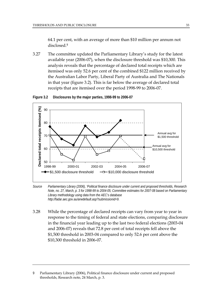64.1 per cent, with an average of more than \$10 million per annum not disclosed.<sup>9</sup>

3.27 The committee updated the Parliamentary Library's study for the latest available year (2006-07), when the disclosure threshold was \$10,300. This analysis reveals that the percentage of declared total receipts which are itemised was only 52.6 per cent of the combined \$122 million received by the Australian Labor Party, Liberal Party of Australia and The Nationals in that year (figure 3.2). This is far below the average of declared total receipts that are itemised over the period 1998-99 to 2006-07.





3.28 While the percentage of declared receipts can vary from year to year in response to the timing of federal and state elections, comparing disclosure in the financial year leading up to the last two federal elections (2003-04 and 2006-07) reveals that 72.8 per cent of total receipts fell above the \$1,500 threshold in 2003-04 compared to only 52.6 per cent above the \$10,300 threshold in 2006-07.

*Source Parliamentary Library (2006), 'Political finance disclosure under current and proposed thresholds, Research Note, no. 27, March, p. 3 for 1998-99 to 2004-05; Committee estimates for 2007-08 based on Parliamentary Library methodology using data from the AEC's database http://fadar.aec.gov.au/arwdefault.asp?submissionid=9.* 

<sup>9</sup> Parliamentary Library (2006), Political finance disclosure under current and proposed thresholds, Research note, 24 March, p. 3.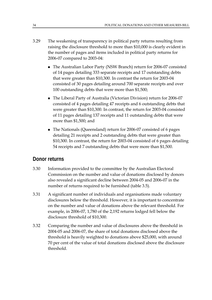- 3.29 The weakening of transparency in political party returns resulting from raising the disclosure threshold to more than \$10,000 is clearly evident in the number of pages and items included in political party returns for 2006-07 compared to 2003-04:
	- The Australian Labor Party (NSW Branch) return for 2006-07 consisted of 14 pages detailing 333 separate receipts and 17 outstanding debts that were greater than \$10,300. In contrast the return for 2003-04 consisted of 30 pages detailing around 700 separate receipts and over 100 outstanding debts that were more than \$1,500;
	- The Liberal Party of Australia (Victorian Division) return for 2006-07 consisted of 4 pages detailing 47 receipts and 6 outstanding debts that were greater than \$10,300. In contrast, the return for 2003-04 consisted of 11 pages detailing 137 receipts and 11 outstanding debts that were more than \$1,500; and
	- The Nationals (Queensland) return for 2006-07 consisted of 6 pages detailing 21 receipts and 2 outstanding debts that were greater than \$10,300. In contrast, the return for 2003-04 consisted of 6 pages detailing 54 receipts and 7 outstanding debts that were more than \$1,500.

## **Donor returns**

- 3.30 Information provided to the committee by the Australian Electoral Commission on the number and value of donations disclosed by donors also revealed a significant decline between 2004-05 and 2006-07 in the number of returns required to be furnished (table 3.5).
- 3.31 A significant number of individuals and organisations made voluntary disclosures below the threshold. However, it is important to concentrate on the number and value of donations above the relevant threshold. For example, in 2006-07, 1,780 of the 2,192 returns lodged fell below the disclosure threshold of \$10,300.
- 3.32 Comparing the number and value of disclosures above the threshold in 2004-05 and 2006-07, the share of total donations disclosed above the threshold is heavily weighted to donations above \$25,000, with around 70 per cent of the value of total donations disclosed above the disclosure threshold.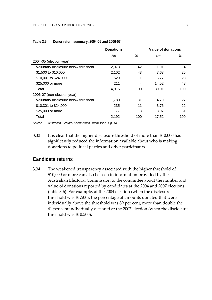|                                      | <b>Donations</b><br>Value of donations |     |       |     |
|--------------------------------------|----------------------------------------|-----|-------|-----|
|                                      | No.                                    | %   | \$m   | %   |
| 2004-05 (election year)              |                                        |     |       |     |
| Voluntary disclosure below threshold | 2,073                                  | 42  | 1.01  | 4   |
| \$1,500 to \$10,000                  | 2,102                                  | 43  | 7.63  | 25  |
| \$10,001 to \$24,999                 | 529                                    | 11  | 6.77  | 23  |
| \$25,000 or more                     | 211                                    | 4   | 14.52 | 48  |
| Total                                | 4,915                                  | 100 | 30.01 | 100 |
| 2006-07 (non-election year)          |                                        |     |       |     |
| Voluntary disclosure below threshold | 1,780                                  | 81  | 4.79  | 27  |
| \$10,301 to \$24,999                 | 235                                    | 11  | 3.76  | 22  |
| \$25,000 or more                     | 177                                    | 8   | 8.97  | 51  |
| Total                                | 2,192                                  | 100 | 17.52 | 100 |

**Table 3.5 Donor return summary, 2004-05 and 2006-07** 

*Source Australian Electoral Commission, submission 3, p. 14.* 

3.33 It is clear that the higher disclosure threshold of more than \$10,000 has significantly reduced the information available about who is making donations to political parties and other participants.

## **Candidate returns**

3.34 The weakened transparency associated with the higher threshold of \$10,000 or more can also be seen in information provided by the Australian Electoral Commission to the committee about the number and value of donations reported by candidates at the 2004 and 2007 elections (table 3.6). For example, at the 2004 election (when the disclosure threshold was \$1,500), the percentage of amounts donated that were individually above the threshold was 89 per cent, more than double the 41 per cent individually declared at the 2007 election (when the disclosure threshold was \$10,500).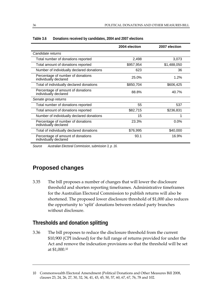|                                                            | 2004 election | 2007 election |
|------------------------------------------------------------|---------------|---------------|
| Candidate returns                                          |               |               |
| Total number of donations reported                         | 2,498         | 3,073         |
| Total amount of donations reported                         | \$957,954     | \$1,488,050   |
| Number of individually declared donations                  | 623           | 36            |
| Percentage of number of donations<br>individually declared | 25.0%         | 1.2%          |
| Total of individually declared donations                   | \$850,704     | \$606,425     |
| Percentage of amount of donations<br>individually declared | 88.8%         | 40.7%         |
| Senate group returns                                       |               |               |
| Total number of donations reported                         | 55            | 537           |
| Total amount of donations reported                         | \$82,715      | \$236,831     |
| Number of individually declared donations                  | 15            |               |
| Percentage of number of donations<br>individually declared | 23.3%         | 0.0%          |
| Total of individually declared donations                   | \$76,995      | \$40,000      |
| Percentage of amount of donations<br>individually declared | 93.1          | 16.9%         |

| Table 3.6 |  | Donations received by candidates, 2004 and 2007 elections |
|-----------|--|-----------------------------------------------------------|
|-----------|--|-----------------------------------------------------------|

*Source Australian Electoral Commission, submission 3, p. 16.* 

# **Proposed changes**

3.35 The bill proposes a number of changes that will lower the disclosure threshold and shorten reporting timeframes. Administrative timeframes for the Australian Electoral Commission to publish returns will also be shortened. The proposed lower disclosure threshold of \$1,000 also reduces the opportunity to 'split' donations between related party branches without disclosure.

# **Thresholds and donation splitting**

3.36 The bill proposes to reduce the disclosure threshold from the current \$10,900 (CPI indexed) for the full range of returns provided for under the Act and remove the indexation provisions so that the threshold will be set at \$1,000.<sup>10</sup>

<sup>10</sup> Commonwealth Electoral Amendment (Political Donations and Other Measures Bill 2008, clauses 23, 24, 26, 27, 30, 32, 34, 41, 43, 45, 50, 57, 60, 67, 67, 76, 78 and 102.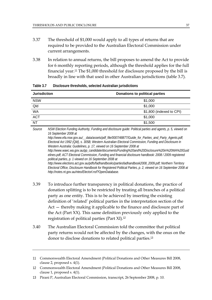- 3.37 The threshold of \$1,000 would apply to all types of returns that are required to be provided to the Australian Electoral Commission under current arrangements.
- 3.38 In relation to annual returns, the bill proposes to amend the Act to provide for 6 monthly reporting periods, although the threshold applies for the full financial year.<sup>11</sup> The \$1,000 threshold for disclosure proposed by the bill is broadly in line with that used in other Australian jurisdictions (table 3.7).

| <b>Jurisdiction</b> | <b>Donations to political parties</b> |
|---------------------|---------------------------------------|
| <b>NSW</b>          | \$1,000                               |
| Qld                 | \$1,000                               |
| <b>WA</b>           | \$1,800 (indexed to CPI)              |
| <b>ACT</b>          | \$1,000                               |
| <b>NT</b>           | \$1,500                               |

**Table 3.7 Disclosure thresholds, selected Australian jurisdictions** 

*Source NSW Election Funding Authority, Funding and disclosure guide: Political parties and agents, p. 5, viewed on 16 September 2008 at http://www.efa.nsw.gov.au/\_\_data/assets/pdf\_file/0007/48877/Guide\_for\_Parties\_and\_Party\_Agents.pdf; Electoral Act 1992 (Qld), s. 305B; Western Australian Electoral Commission, Funding and Disclosure in Western Australia: Guidelines, p. 17, viewed on 16 September 2008 at http://www.waec.wa.gov.au/pp\_candidate/documents/Funding%20and%20Disclosure%20in%20WA%20Guid elines.pdf; ACT Electoral Commission, Funding and financial disclosure handbook: 2008 / 2009 registered political parties, p. 1 viewed on 16 September 2008 at http://www.elections.act.gov.au/pdfs/fadhandbooks/partiesfadhandbook2008\_2009.pdf; Northern Territory Electoral Office, Disclosure Handbook for Registered Political Parties, p. 2, viewed on 16 September 2008 at http://notes.nt.gov.au/nteo/Electorl.nsf?OpenDatabase.* 

- 3.39 To introduce further transparency in political donations, the practice of donation splitting is to be restricted by treating all branches of a political party as one entity. This is to be achieved by inserting the existing definition of 'related' political parties in the interpretation section of the Act – thereby making it applicable to the finance and disclosure part of the Act (Part XX). This same definition previously only applied to the registration of political parties (Part XI).<sup>12</sup>
- 3.40 The Australian Electoral Commission told the committee that political party returns would not be affected by the changes, with the onus on the donor to disclose donations to related political parties.<sup>13</sup>

<sup>11</sup> Commonwealth Electoral Amendment (Political Donations and Other Measures Bill 2008, clause 2, proposed s. 4(1).

<sup>12</sup> Commonwealth Electoral Amendment (Political Donations and Other Measures Bill 2008, clause 1, proposed s. 4(1).

<sup>13</sup> Pirani P, Australian Electoral Commission, transcript, 26 September 2008, p. 10.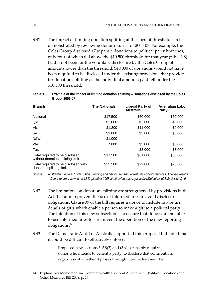3.41 The impact of limiting donation splitting at the current threshold can be demonstrated by reviewing donor returns for 2006-07. For example, the Coles Group disclosed 17 separate donations to political party branches, only four of which fell above the \$10,500 threshold for that year (table 3.8). Had it not been for the voluntary disclosure by the Coles Group of amounts lower than the threshold, \$40,000 of donations would not have been required to be disclosed under the existing provisions that provide for donation splitting as the individual amounts paid fell under the \$10,500 threshold.

| <b>Branch</b>                                                      | <b>The Nationals</b> | <b>Liberal Party of</b><br><b>Australia</b> | <b>Australian Labor</b><br>Party |
|--------------------------------------------------------------------|----------------------|---------------------------------------------|----------------------------------|
| National                                                           | \$17,500             | \$50,000                                    | \$50,000                         |
| Old                                                                | \$2,000              | \$2,000                                     | \$5,000                          |
| <b>Vic</b>                                                         | \$1,200              | \$11,000                                    | \$9,000                          |
| <b>SA</b>                                                          | \$1,000              | \$3,000                                     | \$3,000                          |
| <b>NSW</b>                                                         | \$1,000              |                                             |                                  |
| <b>WA</b>                                                          | \$800                | \$3,000                                     | \$3,000                          |
| Tas                                                                |                      | \$3,000                                     | \$3,000                          |
| Total required to be disclosed<br>without donation splitting limit | \$17,500             | \$61,000                                    | \$50,000                         |
| Total required to be disclosed with<br>donation splitting limit    | \$23,500             | \$72,000                                    | \$73,000                         |

**Table 3.8 Example of the impact of limiting donation splitting – Donations disclosed by the Coles Group, 2006-07** 

*Source Australian Electoral Commission, Funding and disclosure: Annual Returns Locator Services, Analysis results – Donor returns, viewed on 12 September 2008 at http://fadar.aec.gov.au/arwDefault.asp?SubmissionID=9.* 

- 3.42 The limitations on donation splitting are strengthened by provisions in the Act that aim to prevent the use of intermediaries to avoid disclosure obligations. Clause 39 of the bill requires a donor to include in a return, details of gifts which enable a person to make a gift to a political party. The intention of this new subsection is to ensure that donors are not able to use intermediaries to circumvent the operation of the new reporting obligations.<sup>14</sup>
- 3.43 The Democratic Audit of Australia supported this proposal but noted that it could be difficult to effectively enforce:

Proposed new sections 305B(2) and (3A) ostensibly require a donor who intends to benefit a party, to disclose that contribution, regardless of whether it passes through intermediar/ies. The

<sup>14</sup> Explanatory Memorandum, Commonwealth Electoral Amendment (Political Donations and Other Measures Bill 2008, p. 17.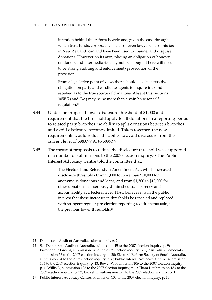intention behind this reform is welcome, given the ease through which trust funds, corporate vehicles or even lawyers' accounts (as in New Zealand) can and have been used to channel and disguise donations. However on its own, placing an obligation of honesty on donors and intermediaries may not be enough. There will need to be strong auditing and enforcement/prosecution of the provision.

From a legislative point of view, there should also be a positive obligation on party and candidate agents to inquire into and be satisfied as to the true source of donations. Absent this, sections 305B(2) and (3A) may be no more than a vain hope for self regulation.<sup>15</sup>

- 3.44 Under the proposed lower disclosure threshold of \$1,000 and a requirement that the threshold apply to all donations in a reporting period to related party branches the ability to split donations between branches and avoid disclosure becomes limited. Taken together, the new requirements would reduce the ability to avoid disclosure from the current level of \$98,099.91 to \$999.99.
- 3.45 The thrust of proposals to reduce the disclosure threshold was supported in a number of submissions to the 2007 election inquiry.<sup>16</sup> The Public Interest Advocacy Centre told the committee that:

The Electoral and Referendum Amendment Act, which increased disclosure thresholds from \$1,000 to more than \$10,000 for anonymous donations and loans, and from \$1,500 to \$10,000 for other donations has seriously diminished transparency and accountability at a Federal level. PIAC believes it is in the public interest that these increases in thresholds be repealed and replaced with stringent regular pre-election reporting requirements using the previous lower thresholds.<sup>17</sup>

<sup>15</sup> Democratic Audit of Australia, submission 1, p. 2.

<sup>16</sup> See Democratic Audit of Australia, submission 45 to the 2007 election inquiry, p. 9; Eurobodalla Greens, submission 54 to the 2007 election inquiry, p. 2; Australian Democrats, submission 56 to the 2007 election inquiry, p. 20; Electoral Reform Society of South Australia, submission 94 to the 2007 election inquiry, p. 6; Public Interest Advocacy Centre, submission 103 to the 2007 election inquiry, p. 13; Bowe W, submission 106 to the 2007 election inquiry, p. 1; Willis D, submission 126 to the 2007 election inquiry, p. 1; Tham J, submission 133 to the 2007 election inquiry, p. 37; Lockett E, submission 175 to the 2007 election inquiry, p. 1.

<sup>17</sup> Public Interest Advocacy Centre, submission 103 to the 2007 election inquiry, p. 13.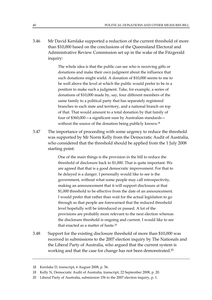3.46 Mr David Kerslake supported a reduction of the current threshold of more than \$10,000 based on the conclusions of the Queensland Electoral and Administrative Review Commission set up in the wake of the Fitzgerald inquiry:

> The whole idea is that the public can see who is receiving gifts or donations and make their own judgment about the influence that such donations might wield. A donation of \$10,000 seems to me to be well above the level at which the public would prefer to be in a position to make such a judgment. Take, for example, a series of donations of \$10,000 made by, say, four different members of the same family to a political party that has separately registered branches in each state and territory, and a national branch on top of that. That would amount to a total donation by that family of four of \$360,000—a significant sum by Australian standards without the source of the donation being publicly known.<sup>18</sup>

3.47 The importance of proceeding with some urgency to reduce the threshold was supported by Mr Norm Kelly from the Democratic Audit of Australia, who considered that the threshold should be applied from the 1 July 2008 starting point:

> One of the main things is the provision in the bill to reduce the threshold of disclosure back to \$1,000. That is quite important. We are agreed that that is a good democratic improvement. For that to be delayed is a danger. I personally would like to see is the government, without what some people may call retrospectivity, making an announcement that it will support disclosure at that \$1,000 threshold to be effective from the date of an announcement. I would prefer that rather than wait for the actual legislation to go through so that people are forewarned that the reduced threshold level hopefully will be introduced or passed. A lot of the provisions are probably more relevant to the next election whereas the disclosure threshold is ongoing and current. I would like to see that enacted as a matter of haste.<sup>19</sup>

3.48 Support for the existing disclosure threshold of more than \$10,000 was received in submissions to the 2007 election inquiry by The Nationals and the Liberal Party of Australia, who argued that the current system is working and that the case for change has not been demonstrated.<sup>20</sup>

<sup>18</sup> Kerslake D, transcript, 6 August 2008, p. 56.

<sup>19</sup> Kelly N, Democratic Audit of Australia, transcript, 22 September 2008, p. 20.

<sup>20</sup> Liberal Party of Australia, submission 156 to the 2007 election inquiry, p. 1.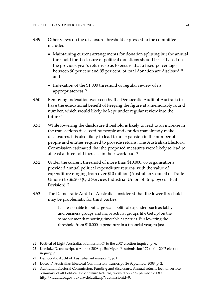- 3.49 Other views on the disclosure threshold expressed to the committee included:
	- Maintaining current arrangements for donation splitting but the annual threshold for disclosure of political donations should be set based on the previous year's returns so as to ensure that a fixed percentage, between 90 per cent and 95 per cent, of total donation are disclosed;<sup>21</sup> and
	- Indexation of the \$1,000 threshold or regular review of its appropriateness.<sup>22</sup>
- 3.50 Removing indexation was seen by the Democratic Audit of Australia to have the educational benefit of keeping the figure at a memorably round number, which would likely be kept under regular review into the future.<sup>23</sup>
- 3.51 While lowering the disclosure threshold is likely to lead to an increase in the transactions disclosed by people and entities that already make disclosures, it is also likely to lead to an expansion in the number of people and entities required to provide returns. The Australian Electoral Commission estimated that the proposed measures were likely to lead to at least a three-fold increase in their workload.<sup>24</sup>
- 3.52 Under the current threshold of more than \$10,000, 63 organisations provided annual political expenditure returns, with the value of expenditure ranging from over \$10 million (Australian Council of Trade Unions) to \$6,200 (Qld Services Industrial Union of Employees - Rail Division).<sup>25</sup>
- 3.53 The Democratic Audit of Australia considered that the lower threshold may be problematic for third parties:

It is reasonable to put large scale political expenders such as lobby and business groups and major activist groups like GetUp! on the same six month reporting timetable as parties. But lowering the threshold from \$10,000 expenditure in a financial year, to just

<sup>21</sup> Festival of Light Australia, submission 67 to the 2007 election inquiry, p. 6.

<sup>22</sup> Kerslake D, transcript, 6 August 2008, p. 56; Myers P, submission 172 to the 2007 election inquiry, p. 1.

<sup>23</sup> Democratic Audit of Australia, submission 1, p. 1.

<sup>24</sup> Dacey P, Australian Electoral Commission, transcript, 26 September 2008, p. 2.

<sup>25</sup> Australian Electoral Commission, Funding and disclosure, Annual returns locator service, Summary of all Political Expenditure Returns, viewed on 23 September 2008 at http://fadar.aec.gov.au/arwdefault.asp?submissionid=9.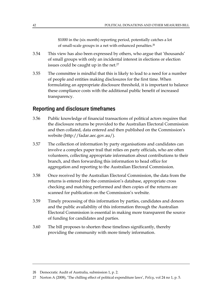\$1000 in the (six month) reporting period, potentially catches a lot of small-scale groups in a net with enhanced penalties.<sup>26</sup>

- 3.54 This view has also been expressed by others, who argue that 'thousands' of small groups with only an incidental interest in elections or election issues could be caught up in the net. $27$
- 3.55 The committee is mindful that this is likely to lead to a need for a number of people and entities making disclosures for the first time. When formulating an appropriate disclosure threshold, it is important to balance these compliance costs with the additional public benefit of increased transparency.

# **Reporting and disclosure timeframes**

- 3.56 Public knowledge of financial transactions of political actors requires that the disclosure returns be provided to the Australian Electoral Commission and then collated, data entered and then published on the Commission's website (http://fadar.aec.gov.au/).
- 3.57 The collection of information by party organisations and candidates can involve a complex paper trail that relies on party officials, who are often volunteers, collecting appropriate information about contributions to their branch, and then forwarding this information to head office for aggregation and reporting to the Australian Electoral Commission.
- 3.58 Once received by the Australian Electoral Commission, the data from the returns is entered into the commission's database, appropriate cross checking and matching performed and then copies of the returns are scanned for publication on the Commission's website.
- 3.59 Timely processing of this information by parties, candidates and donors and the public availability of this information through the Australian Electoral Commission is essential in making more transparent the source of funding for candidates and parties.
- 3.60 The bill proposes to shorten these timelines significantly, thereby providing the community with more timely information.

<sup>26</sup> Democratic Audit of Australia, submission 1, p. 2.

<sup>27</sup> Norton A (2008), 'The chilling effect of political expenditure laws', *Policy*, vol 24 no 1, p. 5.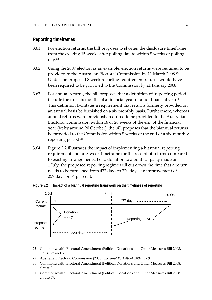#### **Reporting timeframes**

- 3.61 For election returns, the bill proposes to shorten the disclosure timeframe from the existing 15 weeks after polling day to within 8 weeks of polling day.<sup>28</sup>
- 3.62 Using the 2007 election as an example, election returns were required to be provided to the Australian Electoral Commission by 11 March 2008.<sup>29</sup> Under the proposed 8 week reporting requirement returns would have been required to be provided to the Commission by 21 January 2008.
- 3.63 For annual returns, the bill proposes that a definition of 'reporting period' include the first six months of a financial year or a full financial year.<sup>30</sup> This definition facilitates a requirement that returns formerly provided on an annual basis be furnished on a six monthly basis. Furthermore, whereas annual returns were previously required to be provided to the Australian Electoral Commission within 16 or 20 weeks of the end of the financial year (ie: by around 20 October), the bill proposes that the biannual returns be provided to the Commission within 8 weeks of the end of a six-monthly reporting period.<sup>31</sup>
- 3.64 Figure 3.2 illustrates the impact of implementing a biannual reporting requirement and an 8 week timeframe for the receipt of returns compared to existing arrangements. For a donation to a political party made on 1 July, the proposed reporting regime will cut down the time that a return needs to be furnished from 477 days to 220 days, an improvement of 257 days or 54 per cent.



**Figure 3.2 Impact of a biannual reporting framework on the timeliness of reporting** 

- 28 Commonwealth Electoral Amendment (Political Donations and Other Measures Bill 2008, clause 22 and 36.
- 29 Australian Electoral Commission (2008), *Electoral Pocketbook 2007*, p.69
- 30 Commonwealth Electoral Amendment (Political Donations and Other Measures Bill 2008, clause 2.
- 31 Commonwealth Electoral Amendment (Political Donations and Other Measures Bill 2008, clause 37.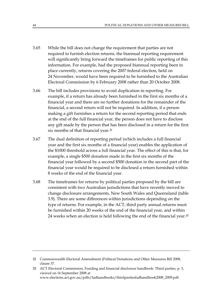- 3.65 While the bill does not change the requirement that parties are not required to furnish election returns, the biannual reporting requirement will significantly bring forward the timeframes for public reporting of this information. For example, had the proposed biannual reporting been in place currently, returns covering the 2007 federal election, held on 24 November, would have been required to be furnished to the Australian Electoral Commission by 6 February 2008 rather than 20 October 2008.
- 3.66 The bill includes provisions to avoid duplication in reporting. For example, if a return has already been furnished in the first six months of a financial year and there are no further donations for the remainder of the financial, a second return will not be required. In addition, if a person making a gift furnishes a return for the second reporting period that ends at the end of the full financial year, the person does not have to disclose any gift made by the person that has been disclosed in a return for the first six months of that financial year.<sup>32</sup>
- 3.67 The dual definition of reporting period (which includes a full financial year and the first six months of a financial year) enables the application of the \$1000 threshold across a full financial year. The effect of this is that, for example, a single \$500 donation made in the first six months of the financial year followed by a second \$500 donation in the second part of the financial year would be required to be disclosed a return furnished within 8 weeks of the end of the financial year.
- 3.68 The timeframes for returns by political parties proposed by the bill are consistent with two Australian jurisdictions that have recently moved to change disclosure arrangements, New South Wales and Queensland (table 3.9). There are some differences within jurisdictions depending on the type of returns. For example, in the ACT, third party annual returns must be furnished within 20 weeks of the end of the financial year, and within 24 weeks when an election is held following the end of the financial year.<sup>33</sup>

<sup>32</sup> Commonwealth Electoral Amendment (Political Donations and Other Measures Bill 2008, clause 37.

<sup>33</sup> ACT Electoral Commission, Funding and financial disclosure handbook: Third parties, p. 3, viewed on 16 September 2008 at www.elections.act.gov.au/pdfs/fadhandbooks/thirdpartiesfadhandbook2008\_2009.pdf.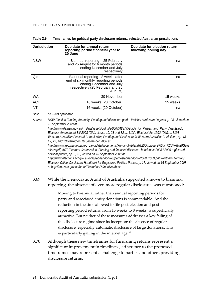| <b>Jurisdiction</b> | Due date for annual return -<br>reporting period financial year to<br>30 June                                                                         | Due date for election return<br>following polling day |
|---------------------|-------------------------------------------------------------------------------------------------------------------------------------------------------|-------------------------------------------------------|
| <b>NSW</b>          | Biannual reporting - 25 February<br>and 25 August for 6 month periods<br>ending December and July<br>respectively                                     | na                                                    |
| Qld                 | Biannual reporting - 8 weeks after<br>end of six monthly reporting periods<br>ending December and July<br>respectively (25 February and 25<br>August) | na                                                    |
| <b>WA</b>           | 30 November                                                                                                                                           | 15 weeks                                              |
| <b>ACT</b>          | 16 weeks (20 October)                                                                                                                                 | 15 weeks                                              |
| <b>NT</b>           | 16 weeks (20 October)                                                                                                                                 | na                                                    |

**Table 3.9 Timeframes for political party disclosure returns, selected Australian jurisdictions** 

*Note na – Not applicable.* 

*Source NSW Election Funding Authority, Funding and disclosure guide: Political parties and agents, p. 25, viewed on 16 September 2008 at* 

*http://www.efa.nsw.gov.au/\_\_data/assets/pdf\_file/0007/48877/Guide\_for\_Parties\_and\_Party\_Agents.pdf; Electoral Amendment Bill 2008 (Qld), clause 19, 28 and 32; s. 110A; Electoral Act 1992 (Qld), s. 319B; Western Australian Electoral Commission, Funding and Disclosure in Western Australia: Guidelines, pp. 18, 19, 22, and 23 viewed on 16 September 2008 at* 

*http://www.waec.wa.gov.au/pp\_candidate/documents/Funding%20and%20Disclosure%20in%20WA%20Guid elines.pdf; ACT Electoral Commission, Funding and financial disclosure handbook: 2008 / 2009 registered political parties, pp. 6, 10, viewed on 16 September 2008 at* 

*http://www.elections.act.gov.au/pdfs/fadhandbooks/partiesfadhandbook2008\_2009.pdf; Northern Territory Electoral Office, Disclosure Handbook for Registered Political Parties, p. 17, viewed on 16 September 2008 at http://notes.nt.gov.au/nteo/Electorl.nsf?OpenDatabase.* 

#### 3.69 While the Democratic Audit of Australia supported a move to biannual reporting, the absence of even more regular disclosures was questioned:

Moving to bi-annual rather than annual reporting periods for party and associated entity donations is commendable. And the reduction in the time allowed to file post-election and postreporting period returns, from 15 weeks to 8 weeks, is superficially attractive. But neither of these measures addresses a key failing of the disclosure regime since its inception: the absence of regular disclosure, especially automatic disclosure of large donations. This is particularly galling in the internet age.<sup>34</sup>

3.70 Although these new timeframes for furnishing returns represent a significant improvement in timeliness, adherence to the proposed timeframes may represent a challenge to parties and others providing disclosure returns.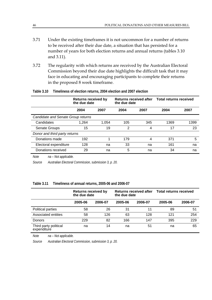- 3.71 Under the existing timeframes it is not uncommon for a number of returns to be received after their due date, a situation that has persisted for a number of years for both election returns and annual returns (tables 3.10 and 3.11).
- 3.72 The regularity with which returns are received by the Australian Electoral Commission beyond their due date highlights the difficult task that it may face in educating and encouraging participants to complete their returns in the proposed 8 week timeframe.

|                                    | <b>Returns received by</b><br>the due date |       | Returns received after<br>the due date |      | <b>Total returns received</b> |      |
|------------------------------------|--------------------------------------------|-------|----------------------------------------|------|-------------------------------|------|
|                                    | 2004                                       | 2007  | 2004                                   | 2007 | 2004                          | 2007 |
| Candidate and Senate Group returns |                                            |       |                                        |      |                               |      |
| Candidates                         | 1.264                                      | 1.054 | 105                                    | 345  | 1369                          | 1399 |
| Senate Groups                      | 15                                         | 19    | 2                                      | 4    | 17                            | 23   |
| Donor and third party returns      |                                            |       |                                        |      |                               |      |
| Donations made                     | 192                                        |       | 179                                    | 4    | 371                           | 5    |
| Electoral expenditure              | 128                                        | na    | 33                                     | na   | 161                           | na   |
| Donations received                 | 29                                         | na    | 5                                      | na   | 34                            | na   |

#### **Table 3.10 Timeliness of election returns, 2004 election and 2007 election**

*Note na – Not applicable.* 

*Source Australian Electoral Commission, submission 3, p. 20.* 

#### **Table 3.11 Timeliness of annual returns, 2005-06 and 2006-07**

|                                      | <b>Returns received by</b><br>the due date |         | <b>Returns received after</b><br>the due date |         | <b>Total returns received</b> |         |
|--------------------------------------|--------------------------------------------|---------|-----------------------------------------------|---------|-------------------------------|---------|
|                                      | 2005-06                                    | 2006-07 | 2005-06                                       | 2006-07 | 2005-06                       | 2006-07 |
| <b>Political parties</b>             | 58                                         | 26      | 31                                            | 11      | 89                            | 51      |
| Associated entities                  | 58                                         | 126     | 63                                            | 128     | 121                           | 254     |
| Donors                               | 229                                        | 82      | 166                                           | 147     | 395                           | 229     |
| Third party political<br>expenditure | na                                         | 14      | na                                            | 51      | na                            | 65      |

*Note na – Not applicable.* 

*Source Australian Electoral Commission, submission 3, p. 20.*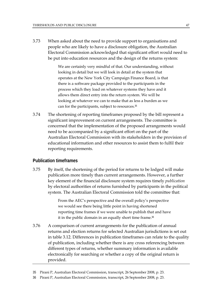3.73 When asked about the need to provide support to organisations and people who are likely to have a disclosure obligation, the Australian Electoral Commission acknowledged that significant effort would need to be put into education resources and the design of the returns system:

> We are certainly very mindful of that. Our understanding, without looking in detail but we will look in detail at the system that operates at the New York City Campaign Finance Board, is that there is a software package provided to the participants in the process which they load on whatever systems they have and it allows them direct entry into the return system. We will be looking at whatever we can to make that as less a burden as we can for the participants, subject to resources.<sup>35</sup>

3.74 The shortening of reporting timeframes proposed by the bill represent a significant improvement on current arrangements. The committee is concerned that the implementation of the proposed arrangements would need to be accompanied by a significant effort on the part of the Australian Electoral Commission with its stakeholders in the provision of educational information and other resources to assist them to fulfil their reporting requirements.

### **Publication timeframes**

3.75 By itself, the shortening of the period for returns to be lodged will make publication more timely than current arrangements. However, a further key element of the financial disclosure system requires timely *publication* by electoral authorities of returns furnished by participants in the political system. The Australian Electoral Commission told the committee that:

> From the AEC's perspective and the overall policy's perspective we would see there being little point in having shortened reporting time frames if we were unable to publish that and have it in the public domain in an equally short time frame.<sup>36</sup>

3.76 A comparison of current arrangements for the publication of annual returns and election returns for selected Australian jurisdictions is set out in table 3.12. Differences in publication timeframes can relate to the quality of publication, including whether there is any cross referencing between different types of returns, whether summary information is available electronically for searching or whether a copy of the original return is provided.

<sup>35</sup> Pirani P, Australian Electoral Commission, transcript, 26 September 2008, p. 23.

<sup>36</sup> Pirani P, Australian Electoral Commission, transcript, 26 September 2008, p. 23.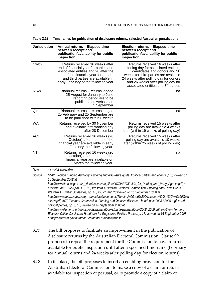| <b>Jurisdiction</b> | <b>Annual returns - Elapsed time</b><br>between receipt and<br>publication/availability for public<br>inspection                                                                                                                       | <b>Election returns - Elapsed time</b><br>between receipt and<br>publication/availability for public<br>inspection                                                                                                                                                                 |
|---------------------|----------------------------------------------------------------------------------------------------------------------------------------------------------------------------------------------------------------------------------------|------------------------------------------------------------------------------------------------------------------------------------------------------------------------------------------------------------------------------------------------------------------------------------|
| Cwlth               | Returns received 16 weeks after<br>end of financial year for parties and<br>associated entities and 20 after the<br>end of the financial year for donors<br>and third parties are available in<br>early February of the following year | Returns received 16 weeks after<br>polling day for associated entities,<br>candidates and donors and 20<br>weeks for third parties are available<br>24 weeks after polling day for donors<br>and 26 weeks after polling day for<br>associated entities and 3 <sup>rd</sup> parties |
| <b>NSW</b>          | Biannual returns - returns lodged<br>25 August for January to June<br>reporting period are to be<br>published on website on<br>1 September                                                                                             | na                                                                                                                                                                                                                                                                                 |
| Qld                 | Biannual returns – returns lodged<br>25 February and 25 September are<br>to be published within 6 weeks                                                                                                                                | na                                                                                                                                                                                                                                                                                 |
| WA                  | Returns received by 30 November<br>and available first working day<br>after 28 December                                                                                                                                                | Returns received 15 weeks after<br>polling day are available 4 weeks<br>later (within 19 weeks of polling day)                                                                                                                                                                     |
| <b>ACT</b>          | Returns received 16 weeks (20<br>October) after the end of the<br>financial year are available in early<br>February the following year.                                                                                                | Returns received 15 weeks after<br>polling day are available 10 weeks<br>later (within 25 weeks of polling day)                                                                                                                                                                    |
| NT                  | Returns received 16 weeks (20)<br>October) after the end of the<br>financial year are available on<br>1 March the following year.                                                                                                      | na                                                                                                                                                                                                                                                                                 |
| $N_{obs}$           | no Notopolicable                                                                                                                                                                                                                       |                                                                                                                                                                                                                                                                                    |

**Table 3.12 Timeframes for publication of disclosure returns, selected Australian jurisdictions** 

*Note na – Not applicable.* 

*Source NSW Election Funding Authority, Funding and disclosure guide: Political parties and agents, p. 8, viewed on 16 September 2008 at* 

*http://www.efa.nsw.gov.au/\_\_data/assets/pdf\_file/0007/48877/Guide\_for\_Parties\_and\_Party\_Agents.pdf; ; Electoral Act 1992 (Qld), s. 319B; Western Australian Electoral Commission, Funding and Disclosure in Western Australia: Guidelines, pp. 18, 19, 22, and 23 viewed on 16 September 2008 at http://www.waec.wa.gov.au/pp\_candidate/documents/Funding%20and%20Disclosure%20in%20WA%20Guid elines.pdf; ACT Electoral Commission, Funding and financial disclosure handbook: 2008 / 2009 registered political parties, pp. 6, 10, viewed on 16 September 2008 at* 

*http://www.elections.act.gov.au/pdfs/fadhandbooks/partiesfadhandbook2008\_2009.pdf; Northern Territory Electoral Office, Disclosure Handbook for Registered Political Parties, p. 17, viewed on 16 September 2008 at http://notes.nt.gov.au/nteo/Electorl.nsf?OpenDatabase.* 

- 3.77 The bill proposes to facilitate an improvement in the publication of disclosure returns by the Australian Electoral Commission. Clause 99 proposes to repeal the requirement for the Commission to have returns available for public inspection until after a specified timeframe (February for annual returns and 24 weeks after polling day for election returns).
- 3.78 In its place, the bill proposes to insert an enabling provision for the Australian Electoral Commission 'to make a copy of a claim or return available for inspection or perusal, or to provide a copy of a claim or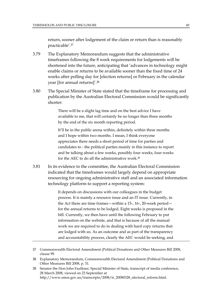return, sooner after lodgement of the claim or return than is reasonably practicable'.<sup>37</sup>

- 3.79 The Explanatory Memorandum suggests that the administrative timeframes following the 8 week requirements for lodgements will be shortened into the future, anticipating that 'advances in technology might enable claims or returns to be available sooner than the fixed time of 24 weeks after polling day for [election returns] or February in the calendar year [for annual returns]'.<sup>38</sup>
- 3.80 The Special Minister of State stated that the timeframe for processing and publication by the Australian Electoral Commission would be significantly shorter:

There will be a slight lag time and on the best advice I have available to me, that will certainly be no longer than three months by the end of the six month reporting period.

It'll be in the public arena within, definitely within three months and I hope within two months. I mean, I think everyone appreciates there needs a short period of time for parties and candidates to - the political parties mainly in this instance to report and be talking about a few weeks, possibly four weeks, four weeks for the AEC to do all the administrative work.<sup>39</sup>

3.81 In its evidence to the committee, the Australian Electoral Commission indicated that the timeframes would largely depend on appropriate resourcing for ongoing administrative staff and an associated information technology platform to support a reporting system:

> It depends on discussions with our colleagues in the budget process. It is mainly a resource issue and an IT issue. Currently, in the Act there are time frames—within a 15-, 16-, 20-week period for the annual returns to be lodged. Eight weeks is proposed in the bill. Currently, we then have until the following February to put information on the website, and that is because of all the manual work we are required to do in dealing with hard copy returns that are lodged with us. As an outcome and as part of the transparency and accountability process, clearly the AEC would be seeking, and

<sup>37</sup> Commonwealth Electoral Amendment (Political Donations and Other Measures Bill 2008, clause 99.

<sup>38</sup> Explanatory Memorandum, Commonwealth Electoral Amendment (Political Donations and Other Measures Bill 2008, p. 31.

<sup>39</sup> Senator the Hon John Faulkner, Special Minister of State, transcript of media conference, 28 March 2008, viewed on 23 September at http://www.smos.gov.au/transcripts/2008/tr\_20080328\_electoral\_reform.html.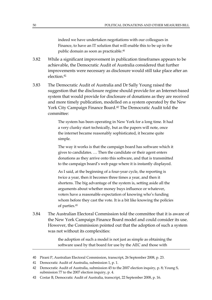indeed we have undertaken negotiations with our colleagues in Finance, to have an IT solution that will enable this to be up in the public domain as soon as practicable.<sup>40</sup>

- 3.82 While a significant improvement in publication timeframes appears to be achievable, the Democratic Audit of Australia considered that further improvements were necessary as disclosure would still take place after an election.<sup>41</sup>
- 3.83 The Democratic Audit of Australia and Dr Sally Young raised the suggestion that the disclosure regime should provide for an Internet-based system that would provide for disclosure of donations as they are received and more timely publication, modelled on a system operated by the New York City Campaign Finance Board.<sup>42</sup> The Democratic Audit told the committee:

The system has been operating in New York for a long time. It had a very clunky start technically, but as the papers will note, once the internet became reasonably sophisticated, it became quite simple.

The way it works is that the campaign board has software which it gives to candidates. … Then the candidate or their agent enters donations as they arrive onto this software, and that is transmitted to the campaign board's web page where it is instantly displayed.

As I said, at the beginning of a four-year cycle, the reporting is twice a year, then it becomes three times a year, and then it shortens. The big advantage of the system is, setting aside all the arguments about whether money buys influence or whatever, voters have a reasonable expectation of knowing who's funding whom before they cast the vote. It is a bit like knowing the policies of parties.<sup>43</sup>

3.84 The Australian Electoral Commission told the committee that it is aware of the New York Campaign Finance Board model and could consider its use. However, the Commission pointed out that the adoption of such a system was not without its complexities:

> the adoption of such a model is not just as simple as obtaining the software used by that board for use by the AEC and those with

43 Costar B, Democratic Audit of Australia, transcript, 22 September 2008, p. 16.

<sup>40</sup> Pirani P, Australian Electoral Commission, transcript, 26 September 2008, p. 23.

<sup>41</sup> Democratic Audit of Australia, submission 1, p. 1.

<sup>42</sup> Democratic Audit of Australia, submission 45 to the 2007 election inquiry, p. 8; Young S, submission 77 to the 2007 election inquiry, p. 4.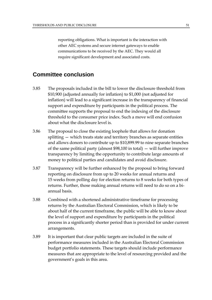reporting obligations. What is important is the interaction with other AEC systems and secure internet gateways to enable communications to be received by the AEC. They would all require significant development and associated costs.

# **Committee conclusion**

- 3.85 The proposals included in the bill to lower the disclosure threshold from \$10,900 (adjusted annually for inflation) to \$1,000 (not adjusted for inflation) will lead to a significant increase in the transparency of financial support and expenditure by participants in the political process. The committee supports the proposal to end the indexing of the disclosure threshold to the consumer price index. Such a move will end confusion about what the disclosure level is.
- 3.86 The proposal to close the existing loophole that allows for donation splitting — which treats state and territory branches as separate entities and allows donors to contribute up to \$10,899.99 to nine separate branches of the same political party (almost \$98,100 in total) — will further improve transparency by limiting the opportunity to contribute large amounts of money to political parties and candidates and avoid disclosure.
- 3.87 Transparency will be further enhanced by the proposal to bring forward reporting on disclosure from up to 20 weeks for annual returns and 15 weeks from polling day for election returns to 8 weeks for both types of returns. Further, those making annual returns will need to do so on a biannual basis.
- 3.88 Combined with a shortened administrative timeframe for processing returns by the Australian Electoral Commission, which is likely to be about half of the current timeframe, the public will be able to know about the level of support and expenditure by participants in the political process in a significantly shorter period than is provided for under current arrangements.
- 3.89 It is important that clear public targets are included in the suite of performance measures included in the Australian Electoral Commission budget portfolio statements. These targets should include performance measures that are appropriate to the level of resourcing provided and the government's goals in this area.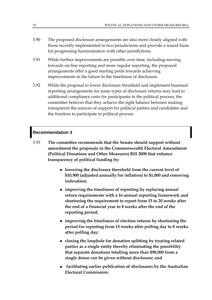- 3.90 The proposed disclosure arrangements are also more closely aligned with those recently implemented in two jurisdictions and provide a sound basis for progressing harmonisation with other jurisdictions.
- 3.91 While further improvements are possible over time, including moving towards on-line reporting and more regular reporting, the proposed arrangements offer a good starting point towards achieving improvements in the future in the timeliness of disclosure.
- 3.92 While the proposal to lower disclosure threshold and implement biannual reporting arrangements for some types of disclosure returns may lead to additional compliance costs for participants in the political process, the committee believes that they achieve the right balance between making transparent the sources of support for political parties and candidates and the freedom to participate in political process.

### **Recommendation 3**

- 3.93 **The committee recommends that the Senate should support without amendment the proposals in the Commonwealth Electoral Amendment (Political Donations and Other Measures) Bill 2008 that enhance transparency of political funding by:** 
	- $\blacksquare$  lowering the disclosure threshold from the current level of **\$10,900 (adjusted annually for inflation) to \$1,000 and removing indexation;**
	- **improving the timeliness of reporting by replacing annual return requirements with a bi-annual reporting framework and shortening the requirement to report from 15 to 20 weeks after the end of a financial year to 8 weeks after the end of the reporting period;**
	- **improving the timeliness of election returns by shortening the period for reporting from 15 weeks after polling day to 8 weeks after polling day;**
	- **closing the loophole for donation splitting by treating related parties as a single entity thereby eliminating the possibility that separate donations totalling more than \$98,000 from a single donor can be given without disclosure; and**
	- **facilitating earlier publication of disclosures by the Australian Electoral Commission.**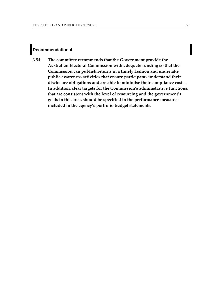#### **Recommendation 4**

3.94 **The committee recommends that the Government provide the Australian Electoral Commission with adequate funding so that the Commission can publish returns in a timely fashion and undertake public awareness activities that ensure participants understand their disclosure obligations and are able to minimise their compliance costs . In addition, clear targets for the Commission's administrative functions, that are consistent with the level of resourcing and the government's goals in this area, should be specified in the performance measures included in the agency's portfolio budget statements.**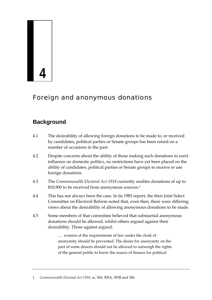

## Foreign and anonymous donations

## **Background**

- 4.1 The desirability of allowing foreign donations to be made to, or received by candidates, political parties or Senate groups has been raised on a number of occasions in the past.
- 4.2 Despite concerns about the ability of those making such donations to exert influence on domestic politics, no restrictions have yet been placed on the ability of candidates, political parties or Senate groups to receive or use foreign donations.
- 4.3 The *Commonwealth Electoral Act 1918* currently enables donations of up to \$10,900 to be received from anonymous sources.<sup>1</sup>
- 4.4 This has not always been the case. In its 1983 report, the then Joint Select Committee on Electoral Reform noted that, even then, there were differing views about the desirability of allowing anonymous donations to be made.
- 4.5 Some members of that committee believed that substantial anonymous donations should be allowed, whilst others argued against their desirability. Those against argued:

… evasion of the requirements of law under the cloak of anonymity should be prevented. The desire for anonymity on the part of some donors should not be allowed to outweigh the rights of the general public to know the source of finance for political

<sup>1</sup> *Commonwealth Electoral Act 1918*, ss. 304, 305A, 305B and 306.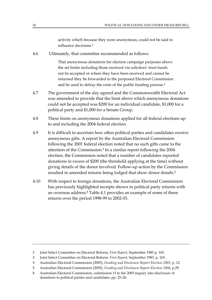activity which because they were anonymous, could not be said to influence decisions.<sup>2</sup>

4.6 Ultimately, that committee recommended as follows:

That anonymous donations for election campaign purposes above the set limits including those received via solicitors' trust funds not be accepted or where they have been received and cannot be returned they be forwarded to the proposed Electoral Commission and be used to defray the costs of the public funding process.<sup>3</sup>

- 4.7 The government of the day agreed and the Commonwealth Electoral Act was amended to provide that the limit above which anonymous donations could not be accepted was \$200 for an individual candidate, \$1,000 for a political party and \$1,000 for a Senate Group.
- 4.8 These limits on anonymous donations applied for all federal elections up to and including the 2004 federal election.
- 4.9 It is difficult to ascertain how often political parties and candidates receive anonymous gifts. A report by the Australian Electoral Commission following the 2001 federal election noted that no such gifts came to the attention of the Commission.<sup>4</sup> In a similar report following the 2004 election, the Commission noted that a number of candidates reported donations in excess of \$200 (the threshold applying at the time) without giving details of the donor involved. Follow-up action by the Commission resulted in amended returns being lodged that show donor details.<sup>5</sup>
- 4.10 With respect to foreign donations, the Australian Electoral Commission has previously highlighted receipts shown in political party returns with an overseas address.<sup>6</sup> Table 4.1 provides an example of some of these returns over the period 1998-99 to 2002-03.

<sup>2</sup> Joint Select Committee on Electoral Reform, *First Report*, September 1983 p. 165.

<sup>3</sup> Joint Select Committee on Electoral Reform, *First Report*, September 1983, p. 165.

<sup>4</sup> Australian Electoral Commission (2005), *Funding and Disclosure Report Election 2001*, p. 12.

<sup>5</sup> Australian Electoral Commission (2005), *Funding and Disclosure Report Election 2004*, p.29.

<sup>6</sup> Australian Electoral Commission, submission 11 to the 2005 inquiry into disclosure of donations to political parties and candidates, pp. 25–26.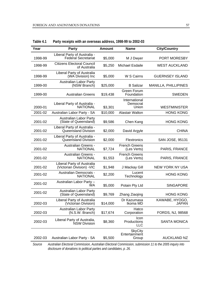| Year    | <b>Party</b>                                             | <b>Amount</b> | <b>Name</b>                              | <b>City/Country</b>            |
|---------|----------------------------------------------------------|---------------|------------------------------------------|--------------------------------|
| 1998-99 | Liberal Party of Australia -<br>Federal Secretariat      | \$5,000       | M J Dwyer                                | PORT MORESBY                   |
| 1998-99 | <b>Citizens Electoral Council</b><br>of Australia        | \$5,250       | Michael Esdaile                          | <b>WEST AUCKLAND</b>           |
| 1998-99 | Liberal Party of Australia<br>(WA Division) Inc          | \$5,000       | W S Cairns                               | <b>GUERNSEY ISLAND</b>         |
| 1999-00 | <b>Australian Labor Party</b><br>(NSW Branch)            | \$25,000      | <b>B</b> Salizar                         | MANILLA, PHILLIPINES           |
| 1999-00 | <b>Australian Greens</b>                                 | \$19,438      | Green Forum<br>Foundation                | <b>SWEDEN</b>                  |
| 2000-01 | Liberal Party of Australia -<br><b>NATIONAL</b>          | \$3,301       | International<br>Democrat<br>Union       | <b>WESTMINISTER</b>            |
| 2001-02 | Australian Labor Party - SA                              | \$10,000      | Alastair Walton                          | <b>HONG KONG</b>               |
| 2001-02 | <b>Australian Labor Party</b><br>(State of Queensland)   | \$9,586       | Chen Kang                                | <b>HONG KONG</b>               |
| 2001-02 | Liberal Party of Australia -<br>Queensland Division      | \$2,000       | David Argyle                             | <b>CHINA</b>                   |
| 2001-02 | Liberal Party of Australia -<br>Queensland Division      | \$2,000       | Flextronics                              | SAN JOSE, 95131                |
| 2001-02 | <b>Australian Greens -</b><br><b>NATIONAL</b>            | \$7,724       | <b>French Greens</b><br>(Les Verts)      | PARIS, FRANCE                  |
| 2001-02 | <b>Australian Greens -</b><br><b>NATIONAL</b>            | \$1,553       | <b>French Greens</b><br>(Les Verts)      | PARIS, FRANCE                  |
| 2001-02 | Liberal Party of Australia<br>(Victorian Division) - VIC | \$1,948       | J Mackay Gill                            | <b>NEW YORK NY USA</b>         |
| 2001-02 | Australian Democrats -<br><b>NATIONAL</b>                | \$2,200       | Lucent<br>Technology                     | <b>HONG KONG</b>               |
| 2001-02 | Australian Labor Party -<br><b>WA</b>                    | \$5,000       | Potain Pty Ltd                           | <b>SINGAPORE</b>               |
| 2001-02 | Australian Labor Party<br>(State of Queensland)          | \$9,769       | Zhang Ziaojing                           | <b>HONG KONG</b>               |
| 2002-03 | Liberal Party of Australia<br>(Victorian Division)       | \$14,000      | Dr Kazumasa<br>Ikoma MD                  | KAWABE, HYOGO,<br><b>JAPAN</b> |
| 2002-03 | Australian Labor Party<br>(N.S.W. Branch)                | \$17,674      | Hatco<br>Corporation                     | FORDS, NJ, 98568               |
| 2002-03 | Liberal Party of Australia,<br>NSW Division              | \$8,360       | Icon<br>Productions<br>LLC               | <b>SANTA MONICA</b>            |
| 2002-03 | Australian Labor Party - SA                              | \$5,500       | <b>SkyCity</b><br>Entertainment<br>Group | <b>AUCKLAND NZ</b>             |

**Table 4.1 Party receipts with an overseas address, 1998-99 to 2002-03** 

*Source Australian Electoral Commission, Australian Electoral Commission, submission 11 to the 2005 inquiry into disclosure of donations to political parties and candidates, p. 26.*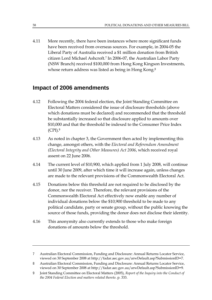4.11 More recently, there have been instances where more significant funds have been received from overseas sources. For example, in 2004-05 the Liberal Party of Australia received a \$1 million donation from British citizen Lord Michael Ashcroft.<sup>7</sup> In 2006-07, the Australian Labor Party (NSW Branch) received \$100,000 from Hong Kong Kingson Investments, whose return address was listed as being in Hong Kong.<sup>8</sup>

## **Impact of 2006 amendments**

- 4.12 Following the 2004 federal election, the Joint Standing Committee on Electoral Matters considered the issue of disclosure thresholds (above which donations must be declared) and recommended that the threshold be substantially increased so that disclosure applied to amounts over \$10,000 and that the threshold be indexed to the Consumer Price Index  $(CPI).9$
- 4.13 As noted in chapter 3, the Government then acted by implementing this change, amongst others, with the *Electoral and Referendum Amendment (Electoral Integrity and Other Measures) Act 2006*, which received royal assent on 22 June 2006.
- 4.14 The current level of \$10,900, which applied from 1 July 2008, will continue until 30 June 2009, after which time it will increase again, unless changes are made to the relevant provisions of the Commonwealth Electoral Act.
- 4.15 Donations below this threshold are not required to be disclosed by the donor, nor the receiver. Therefore, the relevant provisions of the Commonwealth Electoral Act effectively now enable any number of individual donations below the \$10,900 threshold to be made to any political candidate, party or senate group, without the public knowing the source of those funds, providing the donor does not disclose their identity.
- 4.16 This anonymity also currently extends to those who make foreign donations of amounts below the threshold.

<sup>7</sup> Australian Electoral Commission, Funding and Disclosure: Annual Returns Locator Service, viewed on 30 September 2008 at http://fadar.aec.gov.au/arwDefault.asp?SubmissionID=7.

<sup>8</sup> Australian Electoral Commission, Funding and Disclosure: Annual Returns Locator Service, viewed on 30 September 2008 at http://fadar.aec.gov.au/arwDefault.asp?SubmissionID=9.

<sup>9</sup> Joint Standing Committee on Electoral Matters (2005), *Report of the Inquiry into the Conduct of the 2004 Federal Election and matters related thereto*. p. 333.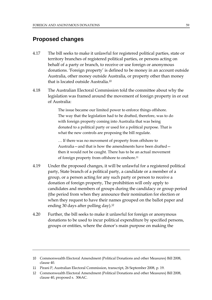## **Proposed changes**

- 4.17 The bill seeks to make it unlawful for registered political parties, state or territory branches of registered political parties, or persons acting on behalf of a party or branch, to receive or use foreign or anonymous donations. 'Foreign property' is defined to be money in an account outside Australia, other money outside Australia, or property other than money that is located outside Australia.<sup>10</sup>
- 4.18 The Australian Electoral Commission told the committee about why the legislation was framed around the movement of foreign property in or out of Australia:

The issue became our limited power to enforce things offshore. The way that the legislation had to be drafted, therefore, was to do with foreign property coming into Australia that was being donated to a political party or used for a political purpose. That is what the new controls are proposing the bill regulate.

… If there was no movement of property from offshore to Australia—and that is how the amendments have been drafted then it would not be caught. There has to be an actual movement of foreign property from offshore to onshore.<sup>11</sup>

- 4.19 Under the proposed changes, it will be unlawful for a registered political party, State branch of a political party, a candidate or a member of a group, or a person acting for any such party or person to receive a donation of foreign property, The prohibition will only apply to candidates and members of groups during the candidacy or group period (the period from when they announce their nomination for election or when they request to have their names grouped on the ballot paper and ending 30 days after polling day).<sup>12</sup>
- 4.20 Further, the bill seeks to make it unlawful for foreign or anonymous donations to be used to incur political expenditure by specified persons, groups or entities, where the donor's main purpose on making the

<sup>10</sup> Commonwealth Electoral Amendment (Political Donations and other Measures) Bill 2008, clause 40.

<sup>11</sup> Pirani P, Australian Electoral Commission, transcript, 26 September 2008, p. 19.

<sup>12</sup> Commonwealth Electoral Amendment (Political Donations and other Measures) Bill 2008, clause 40, proposed s. 306AC.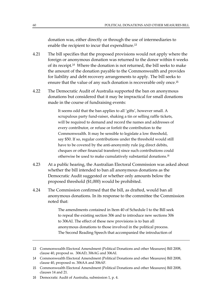donation was, either directly or through the use of intermediaries to enable the recipient to incur that expenditure.<sup>13</sup>

- 4.21 The bill specifies that the proposed provisions would not apply where the foreign or anonymous donation was returned to the donor within 6 weeks of its receipt.<sup>14</sup> Where the donation is not returned, the bill seeks to make the amount of the donation payable to the Commonwealth and provides for liability and debt recovery arrangements to apply. The bill seeks to ensure that the value of any such donation is recoverable only once.<sup>15</sup>
- 4.22 The Democratic Audit of Australia supported the ban on anonymous donations but considered that it may be impractical for small donations made in the course of fundraising events:

It seems odd that the ban applies to all 'gifts', however small. A scrupulous party fund-raiser, shaking a tin or selling raffle tickets, will be required to demand and record the names and addresses of every contributor, or refuse or forfeit the contribution to the Commonwealth. It may be sensible to legislate a low threshold, say \$50. If so, regular contributions under the threshold would still have to be covered by the anti-anonymity rule (eg direct debits, cheques or other financial transfers) since such contributions could otherwise be used to make cumulatively substantial donations.<sup>16</sup>

- 4.23 At a public hearing, the Australian Electoral Commission was asked about whether the bill intended to ban all anonymous donations as the Democratic Audit suggested or whether only amounts below the proposed threshold (\$1,000) would be prohibited.
- 4.24 The Commission confirmed that the bill, as drafted, would ban all anonymous donations. In its response to the committee the Commission noted that:

The amendments contained in Item 40 of Schedule I to the Bill seek to repeal the existing section 306 and to introduce new sections 306 to 306AI. The effect of these new provisions is to ban all anonymous donations to those involved in the political process. The Second Reading Speech that accompanied the introduction of

<sup>13</sup> Commonwealth Electoral Amendment (Political Donations and other Measures) Bill 2008, clause 40, proposd ss. 306AD, 306AG and 306AI.

<sup>14</sup> Commonwealth Electoral Amendment (Political Donations and other Measures) Bill 2008, clause 40, proposed ss. 306AA and 306AF.

<sup>15</sup> Commonwealth Electoral Amendment (Political Donations and other Measures) Bill 2008, clauses 14 and 21.

<sup>16</sup> Democratic Audit of Australia, submission 1, p. 4.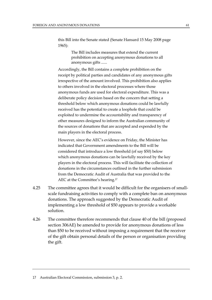this Bill into the Senate stated (Senate Hansard 15 May 2008 page 1965):

> The Bill includes measures that extend the current prohibition on accepting anonymous donations to all anonymous gifts ......

Accordingly, the Bill contains a complete prohibition on the receipt by political parties and candidates of any anonymous gifts irrespective of the amount involved. This prohibition also applies to others involved in the electoral processes where those anonymous funds are used for electoral expenditure. This was a deliberate policy decision based on the concern that setting a threshold below which anonymous donations could be lawfully received has the potential to create a loophole that could be exploited to undermine the accountability and transparency of other measures designed to inform the Australian community of the sources of donations that are accepted and expended by the main players in the electoral process.

However, since the AEC's evidence on Friday, the Minister has indicated that Government amendments to the Bill will be considered that introduce a low threshold (of say \$50) below which anonymous donations can be lawfully received by the key players in the electoral process. This will facilitate the collection of donations in the circumstances outlined in the further submission from the Democratic Audit of Australia that was provided to the AEC at the Committee's hearing.<sup>17</sup>

- 4.25 The committee agrees that it would be difficult for the organisers of smallscale fundraising activities to comply with a complete ban on anonymous donations. The approach suggested by the Democratic Audit of implementing a low threshold of \$50 appears to provide a workable solution.
- 4.26 The committee therefore recommends that clause 40 of the bill (proposed section 306AE) be amended to provide for anonymous donations of less than \$50 to be received without imposing a requirement that the receiver of the gift obtain personal details of the person or organisation providing the gift.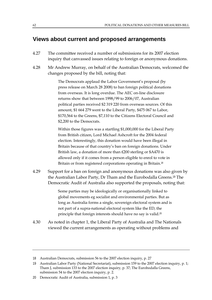## **Views about current and proposed arrangements**

- 4.27 The committee received a number of submissions for its 2007 election inquiry that canvassed issues relating to foreign or anonymous donations.
- 4.28 Mr Andrew Murray, on behalf of the Australian Democrats, welcomed the changes proposed by the bill, noting that:

The Democrats applaud the Labor Government's proposal (by press release on March 28 2008) to ban foreign political donations from overseas. It is long overdue. The AEC on-line disclosure returns show that between 1998/99 to 2006/07, Australian political parties received \$2 319 220 from overseas sources. Of this amount, \$1 664 279 went to the Liberal Party, \$475 067 to Labor, \$170,564 to the Greens, \$7,110 to the Citizens Electoral Council and \$2,200 to the Democrats.

Within those figures was a startling \$1,000,000 for the Liberal Party from British citizen, Lord Michael Ashcroft for the 2004 federal election. Interestingly, this donation would have been illegal in Britain because of that country's ban on foreign donations. Under British law, a donation of more than ₤200 sterling or \$A470 is allowed only if it comes from a person eligible to enrol to vote in Britain or from registered corporations operating in Britain.<sup>18</sup>

4.29 Support for a ban on foreign and anonymous donations was also given by the Australian Labor Party, Dr Tham and the Eurobodalla Greens.<sup>19</sup> The Democratic Audit of Australia also supported the proposals, noting that:

> Some parties may be ideologically or organisationally linked to global movements eg socialist and environmental parties. But as long as Australia forms a single, sovereign electoral system and is not part of a supra-national electoral system like the ED, the principle that foreign interests should have no say is valid.<sup>20</sup>

4.30 As noted in chapter 1, the Liberal Party of Australia and The Nationals viewed the current arrangements as operating without problems and

<sup>18</sup> Australian Democrats, submission 56 to the 2007 election inquiry, p. 27

<sup>19</sup> Australian Labor Party (National Secretariat), submission 159 to the 2007 election inquiry, p. 1; Tham J, submission 133 to the 2007 election inquiry, p. 37; The Eurobodalla Greens, submission 54 to the 2007 election inquiry, p. 2.

<sup>20</sup> Democratic Audit of Australia, submission 1, p. 3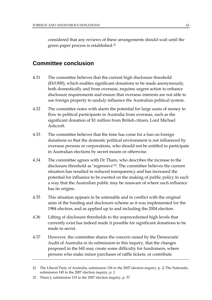considered that any reviews of these arrangements should wait until the green paper process is established.<sup>21</sup>

#### **Committee conclusion**

- 4.31 The committee believes that the current high disclosure threshold (\$10,900), which enables significant donations to be made anonymously, both domestically and from overseas, requires urgent action to enhance disclosure requirements and ensure that overseas interests are not able to use foreign property to unduly influence the Australian political system.
- 4.32 The committee notes with alarm the potential for large sums of money to flow to political participants in Australia from overseas, such as the significant donation of \$1 million from British citizen, Lord Michael Ashcroft.
- 4.33 The committee believes that the time has come for a ban on foreign donations so that the domestic political environment is not influenced by overseas persons or corporations, who should not be entitled to participate in Australian elections by secret means or otherwise.
- 4.34 The committee agrees with Dr Tham, who describes the increase to the disclosure threshold as 'regressive'<sup>22</sup>. The committee believes the current situation has resulted in reduced transparency and has increased the potential for influence to be exerted on the making of public policy in such a way that the Australian public may be unaware of where such influence has its origins.
- 4.35 This situation appears to be untenable and in conflict with the original aims of the funding and disclosure scheme as it was implemented for the 1984 election, and as applied up to and including the 2004 election.
- 4.36 Lifting of disclosure thresholds to the unprecedented high levels that currently exist has indeed made it possible for significant donations to be made in secret.
- 4.37 However, the committee shares the concern raised by the Democratic Audit of Australia in its submission to this inquiry, that the changes proposed in the bill may create some difficulty for fundraisers, where persons who make minor purchases of raffle tickets, or contribute

<sup>21</sup> The Liberal Party of Australia, submission 156 to the 2007 election inquiry, p. 2; The Nationals, submission 145 to the 2007 election inquiry, p. 1.

<sup>22</sup> Tham J, submission 133 to the 2007 election inquiry, p. 37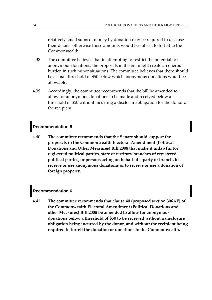relatively small sums of money by donation may be required to disclose their details, otherwise those amounts would be subject to forfeit to the Commonwealth.

- 4.38 The committee believes that in attempting to restrict the potential for anonymous donations, the proposals in the bill might create an onerous burden in such minor situations. The committee believes that there should be a small threshold of \$50 below which anonymous donations would be allowable.
- 4.39 Accordingly, the committee recommends that the bill be amended to allow for anonymous donations to be made and received below a threshold of \$50 without incurring a disclosure obligation for the donor or the recipient.

#### **Recommendation 5**

4.40 **The committee recommends that the Senate should support the proposals in the Commonwealth Electoral Amendment (Political Donations and Other Measures) Bill 2008 that make it unlawful for registered political parties, state or territory branches of registered political parties, or persons acting on behalf of a party or branch, to receive or use anonymous donations or to receive or use a donation of foreign property.** 

#### **Recommendation 6**

4.41 **The committee recommends that clause 40 (proposed section 306AE) of the Commonwealth Electoral Amendment (Political Donations and other Measures) Bill 2008 be amended to allow for anonymous donations below a threshold of \$50 to be received without a disclosure obligation being incurred by the donor, and without the recipient being required to forfeit the donation or donations to the Commonwealth.**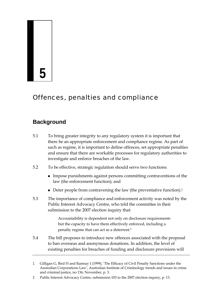# **5**

## Offences, penalties and compliance

## **Background**

- 5.1 To bring greater integrity to any regulatory system it is important that there be an appropriate enforcement and compliance regime. As part of such as regime, it is important to define offences, set appropriate penalties and ensure that there are workable processes for regulatory authorities to investigate and enforce breaches of the law.
- 5.2 To be effective, strategic regulation should serve two functions:
	- **Impose punishments against persons committing contraventions of the** law (the enforcement function); and
	- Deter people from contravening the law (the preventative function).<sup>1</sup>
- 5.3 The importance of compliance and enforcement activity was noted by the Public Interest Advocacy Centre, who told the committee in their submission to the 2007 election inquiry that:

Accountability is dependent not only on disclosure requirements but the capacity to have them effectively enforced, including a penalty regime that can act as a deterrent.<sup>2</sup>

5.4 The bill proposes to introduce new offences associated with the proposal to ban overseas and anonymous donations. In addition, the level of existing penalties for breaches of funding and disclosure provisions will

<sup>1</sup> Gilligan G, Bird H and Ramsay I (1999), 'The Efficacy of Civil Penalty Sanctions under the Australian Corporations Law', Australian Institute of Criminology trends and issues in crime and criminal justice, no 136, November, p. 3.

<sup>2</sup> Public Interest Advocacy Centre, submission 103 to the 2007 election inquiry, p. 13.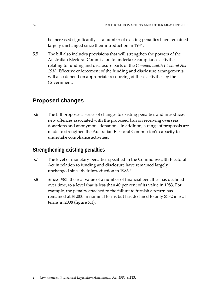be increased significantly — a number of existing penalties have remained largely unchanged since their introduction in 1984.

5.5 The bill also includes provisions that will strengthen the powers of the Australian Electoral Commission to undertake compliance activities relating to funding and disclosure parts of the *Commonwealth Electoral Act 1918*. Effective enforcement of the funding and disclosure arrangements will also depend on appropriate resourcing of these activities by the Government.

## **Proposed changes**

5.6 The bill proposes a series of changes to existing penalties and introduces new offences associated with the proposed ban on receiving overseas donations and anonymous donations. In addition, a range of proposals are made to strengthen the Australian Electoral Commission's capacity to undertake compliance activities.

### **Strengthening existing penalties**

- 5.7 The level of monetary penalties specified in the Commonwealth Electoral Act in relation to funding and disclosure have remained largely unchanged since their introduction in 1983.<sup>3</sup>
- 5.8 Since 1983, the real value of a number of financial penalties has declined over time, to a level that is less than 40 per cent of its value in 1983. For example, the penalty attached to the failure to furnish a return has remained at \$1,000 in nominal terms but has declined to only \$382 in real terms in 2008 (figure 5.1).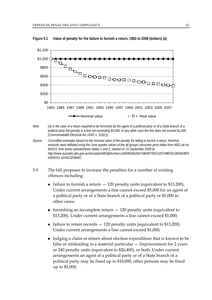

**Figure 5.1 Value of penalty for the failure to furnish a return, 1983 to 2008 (dollars) (a)** 

- *Note (a) in the case of a return required to be furnished by the agent of a political party or of a State branch of a political party the penalty is a fine not exceeding \$5,000. In any other case the fine does not exceed \$1,000 (Commonwealth Electoral Act 1918, s. 315(1)).*
- *Source Committee estimates based on the nominal value of the penalty for failing to furnish a return. Nominal amounts were deflated using the June quarter values of the all groups consumer price index from ABS cat no 6410.0, time series spreadsheets tables 1 and 2, viewed on 15 September 2008 at http://www.ausstats.abs.gov.au/Ausstats/ABS@Archive.nsf/0/B30A20A7A8A4F783CA25748E0012B5D6/\$Fil e/640101.xls#A2325846C.*
- 5.9 The bill proposes to increase the penalties for a number of existing offences including:
	- failure to furnish a return  $-120$  penalty units (equivalent to \$13,200). Under current arrangements a fine cannot exceed \$5,000 for an agent of a political party or of a State branch of a political party or \$1,000 in other cases;
	- **furnishing an incomplete return**  $-120$  **penalty units (equivalent to** \$13,200). Under current arrangements a fine cannot exceed \$1,000;
	- failure to retain records  $-120$  penalty units (equivalent to \$13,200). Under current arrangements a fine cannot exceed \$1,000;
	- lodging a claim or return about election expenditure that is known to be false or misleading in a material particular — Imprisonment for 2 years or 240 penalty units (equivalent to \$26,400), or both. Under current arrangements an agent of a political party or of a State branch of a political party may be fined up to \$10,000, other persons may be fined up to \$5,000;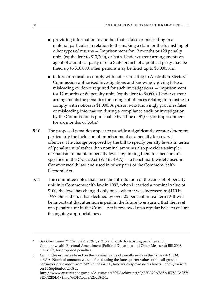- **providing information to another that is false or misleading in a** material particular in relation to the making a claim or the furnishing of other types of returns — Imprisonment for 12 months or 120 penalty units (equivalent to \$13,200), or both. Under current arrangements an agent of a political party or of a State branch of a political party may be fined up to \$10,000, other persons may be fined up to \$5,000; and
- failure or refusal to comply with notices relating to Australian Electoral Commission-authorised investigations and knowingly giving false or misleading evidence required for such investigations — imprisonment for 12 months or 60 penalty units (equivalent to \$6,600). Under current arrangements the penalties for a range of offences relating to refusing to comply with notices is \$1,000. A person who knowingly provides false or misleading information during a compliance audit or investigation by the Commission is punishable by a fine of \$1,000, or imprisonment for six months, or both.<sup>4</sup>
- 5.10 The proposed penalties appear to provide a significantly greater deterrent, particularly the inclusion of imprisonment as a penalty for several offences. The change proposed by the bill to specify penalty levels in terms of 'penalty units' rather than nominal amounts also provides a simpler mechanism to maintain penalty levels by linking them to a benchmark specified in the *Crimes Act 1914* (s. 4AA) — a benchmark widely used in Commonwealth law and used in other parts of the Commonwealth Electoral Act.
- 5.11 The committee notes that since the introduction of the concept of penalty unit into Commonwealth law in 1992, when it carried a nominal value of \$100, the level has changed only once, when it was increased to \$110 in 1997. Since then, it has declined by over 25 per cent in real terms.<sup>5</sup> It will be important that attention is paid in the future to ensuring that the level of a penalty unit in the Crimes Act is reviewed on a regular basis to ensure its ongoing appropriateness.

<sup>4</sup> See *Commonwealth Electoral Act 1918*, s. 315 and s. 316 for existing penalties and Commonwealth Electoral Amendment (Political Donations and Other Measures) Bill 2008, clause 82, for proposed penalties.

<sup>5</sup> Committee estimates based on the nominal value of penalty units in the *Crimes Act 1914*, s. 4AA. Nominal amounts were deflated using the June quarter values of the all groups consumer price index from ABS cat no 6410.0, time series spreadsheets tables 1 and 2, viewed on 15 September 2008 at http://www.ausstats.abs.gov.au/Ausstats/ABS@Archive.nsf/0/B30A20A7A8A4F783CA2574 8E0012B5D6/\$File/640101.xls#A2325846C.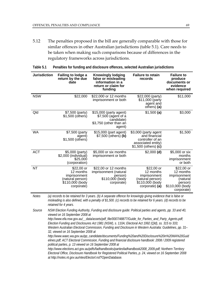5.12 The penalties proposed in the bill are generally comparable with those for similar offences in other Australian jurisdictions (table 5.1). Care needs to be taken when making such comparisons because of differences in the regulatory frameworks across jurisdictions.

| <b>Jurisdiction</b> | <b>Failing to lodge a</b><br>return by the due<br>date                                       | <b>Knowingly lodging</b><br>false or misleading<br>information in a<br>return or claim for<br>funding | <b>Failure to retain</b><br>records                                                                      | <b>Failure to</b><br>produce<br>documents or<br>evidence<br>when required                       |
|---------------------|----------------------------------------------------------------------------------------------|-------------------------------------------------------------------------------------------------------|----------------------------------------------------------------------------------------------------------|-------------------------------------------------------------------------------------------------|
| <b>NSW</b>          | \$22,000                                                                                     | \$22,000 or 12 months<br>imprisonment or both                                                         | \$22,000 (party)<br>\$11,000 (party<br>agent and<br>others) (a)                                          | \$11,000                                                                                        |
| Qld                 | \$7,500 (party)<br>\$1,500 (others)                                                          | \$15,000 (party agent)<br>\$7,500 (agent of a<br>candidate)<br>\$3,750 (other than an<br>agent)       | $$1,500$ (a)                                                                                             | \$3,000                                                                                         |
| WA                  | \$7,500 (party<br>agent)<br>\$1,500 (others)                                                 | \$15,000 (part agent)<br>\$7,500 (others) (b)                                                         | \$3,000 (party agent<br>and financial<br>controller of an<br>associated entity)<br>$$1,500$ (others) (c) | \$1,500                                                                                         |
| <b>ACT</b>          | \$5,000 (party)<br>\$2,000 (individual)<br>\$25,000<br>(corporation)                         | \$5,000 or six months<br>imprisonment or both                                                         | $$2,000$ (d)                                                                                             | \$5,000 or six<br>months<br>imprisonment<br>or both                                             |
| <b>NT</b>           | \$22,00 or<br>12 months<br>imprisonment<br>(natural person)<br>\$110,000 (body<br>corporate) | \$22,00 or 12 months<br>imprisonment (natural<br>person)<br>\$110,000 (body<br>corporate)             | \$22,00 or<br>12 months<br>imprisonment<br>(natural person)<br>\$110,000 (body<br>corporate) (a)         | \$22,00 or<br>12 months<br>imprisonment<br>(natural<br>person)<br>\$110,000 (body<br>corporate) |

| Table 5.1 |  | Penalties for funding and disclosure offences, selected Australian jurisdictions |  |  |
|-----------|--|----------------------------------------------------------------------------------|--|--|
|-----------|--|----------------------------------------------------------------------------------|--|--|

*Notes (a) records to be retained for 3 years. (b) A separate offence for knowingly giving evidence that is false or misleading is also defined, with a penalty of \$1,500. (c) records to be retained for 6 years. (d) records to be retained for 4 years.* 

*Source NSW Election Funding Authority, Funding and disclosure guide: Political parties and agents, pp. 33 and 40, viewed on 16 September 2008 at* 

*http://www.efa.nsw.gov.au/\_\_data/assets/pdf\_file/0007/48877/Guide\_for\_Parties\_and\_Party\_Agents.pdf; Election Funding and Disclosures Act 1981 (NSW), s. 110A; Electoral Act 1992 (Qld), ss. 315 to 333; Western Australian Electoral Commission, Funding and Disclosure in Western Australia: Guidelines, pp. 31– 32, viewed on 16 September 2008 at* 

*http://www.waec.wa.gov.au/pp\_candidate/documents/Funding%20and%20Disclosure%20in%20WA%20Guid elines.pdf; ACT Electoral Commission, Funding and financial disclosure handbook: 2008 / 2009 registered political parties, p. 13 viewed on 16 September 2008 at* 

*http://www.elections.act.gov.au/pdfs/fadhandbooks/partiesfadhandbook2008\_2009.pdf; Northern Territory Electoral Office, Disclosure Handbook for Registered Political Parties, p. 24, viewed on 16 September 2008 at http://notes.nt.gov.au/nteo/Electorl.nsf?OpenDatabase.*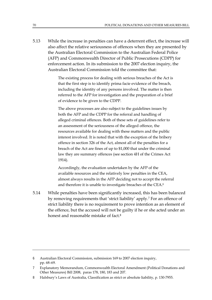5.13 While the increase in penalties can have a deterrent effect, the increase will also affect the relative seriousness of offences when they are presented by the Australian Electoral Commission to the Australian Federal Police (AFP) and Commonwealth Director of Public Prosecutions (CDPP) for enforcement action. In its submission to the 2007 election inquiry, the Australian Electoral Commission told the committee that:

> The existing process for dealing with serious breaches of the Act is that the first step is to identify prima facie evidence of the breach, including the identity of any persons involved. The matter is then referred to the AFP for investigation and the preparation of a brief of evidence to be given to the CDPP.

The above processes are also subject to the guidelines issues by both the AFP and the CDPP for the referral and handling of alleged criminal offences. Both of these sets of guidelines refer to an assessment of the seriousness of the alleged offence, the resources available for dealing with these matters and the public interest involved. It is noted that with the exception of the bribery offence in section 326 of the Act, almost all of the penalties for a breach of the Act are fines of up to \$1,000 that under the criminal law they are summary offences (see section 4H of the Crimes Act 1914).

Accordingly, the evaluation undertaken by the AFP of the available resources and the relatively low penalties in the CEA, almost always results in the AFP deciding not to accept the referral and therefore it is unable to investigate breaches of the CEA.<sup>6</sup>

5.14 While penalties have been significantly increased, this has been balanced by removing requirements that 'strict liability' apply.<sup>7</sup> For an offence of strict liability there is no requirement to prove intention as an element of the offence, but the accused will not be guilty if he or she acted under an honest and reasonable mistake of fact.<sup>8</sup>

<sup>6</sup> Australian Electoral Commission, submission 169 to 2007 election inquiry, pp. 68–69.

<sup>7</sup> Explanatory Memorandum, Commonwealth Electoral Amendment (Political Donations and Other Measures) Bill 2008, paras 178, 180, 183 and 207.

<sup>8</sup> Halsbury's Laws of Australia, Classification as strict or absolute liability, p. 130-7955.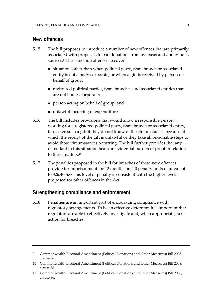#### **New offences**

- 5.15 The bill proposes to introduce a number of new offences that are primarily associated with proposals to ban donations from overseas and anonymous sources.<sup>9</sup> These include offences to cover:
	- situations other than when political party, State branch or associated entity is not a body corporate, or when a gift is received by person on behalf of group;
	- **Performal political parties, State branches and associated entities that** are not bodies corporate;
	- **person acting on behalf of group; and**
	- unlawful incurring of expenditure.
- 5.16 The bill includes provisions that would allow a responsible person working for a registered political party, State branch or associated entity, to receive such a gift if they do not know of the circumstances because of which the receipt of the gift is unlawful or they take all reasonable steps to avoid those circumstances occurring. The bill further provides that any defendant in this situation bears an evidential burden of proof in relation to these matters.<sup>10</sup>
- 5.17 The penalties proposed in the bill for breaches of these new offences provide for imprisonment for 12 months or 240 penalty units (equivalent to \$26,400).<sup>11</sup> This level of penalty is consistent with the higher levels proposed for other offences in the Act.

### **Strengthening compliance and enforcement**

5.18 Penalties are an important part of encouraging compliance with regulatory arrangements. To be an effective deterrent, it is important that regulators are able to effectively investigate and, when appropriate, take action for breaches.

<sup>9</sup> Commonwealth Electoral Amendment (Political Donations and Other Measures) Bill 2008, clause 86.

<sup>10</sup> Commonwealth Electoral Amendment (Political Donations and Other Measures) Bill 2008, clause 86.

<sup>11</sup> Commonwealth Electoral Amendment (Political Donations and Other Measures) Bill 2008, clause 86.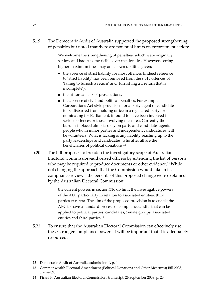#### 5.19 The Democratic Audit of Australia supported the proposed strengthening of penalties but noted that there are potential limits on enforcement action:

We welcome the strengthening of penalties, which were originally set low and had become risible over the decades. However, setting higher maximum fines may on its own do little, given:

- the absence of strict liability for most offences (indeed reference to 'strict liability' has been removed from the s 315 offences of 'failing to furnish a return' and 'furnishing a .. return that is incomplete').
- the historical lack of prosecutions.
- the absence of civil and political penalties. For example, Corporations Act style provisions for a party agent or candidate to be disbarred from holding office in a registered party, or nominating for Parliament, if found to have been involved in serious offences or those involving mens rea. Currently the burden is placed almost solely on party and candidate agents people who in minor parties and independent candidatures will be volunteers. What is lacking is any liability reaching up to the party leaderships and candidates, who after all are the beneficiaries of political donations.<sup>12</sup>
- 5.20 The bill proposes to broaden the investigatory scope of Australian Electoral Commission-authorised officers by extending the list of persons who may be required to produce documents or other evidence.<sup>13</sup> While not changing the approach that the Commission would take in its compliance reviews, the benefits of this proposed change were explained by the Australian Electoral Commission:

the current powers in section 316 do limit the investigative powers of the AEC particularly in relation to associated entities, third parties et cetera. The aim of the proposed provision is to enable the AEC to have a standard process of compliance audits that can be applied to political parties, candidates, Senate groups, associated entities and third parties.<sup>14</sup>

5.21 To ensure that the Australian Electoral Commission can effectively use these stronger compliance powers it will be important that it is adequately resourced.

<sup>12</sup> Democratic Audit of Australia, submission 1, p. 4.

<sup>13</sup> Commonwealth Electoral Amendment (Political Donations and Other Measures) Bill 2008, clause 89.

<sup>14</sup> Pirani P, Australian Electoral Commission, transcript, 26 September 2008, p. 23.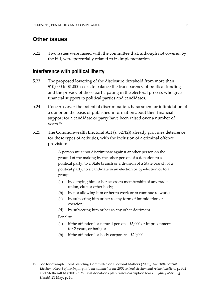#### **Other issues**

5.22 Two issues were raised with the committee that, although not covered by the bill, were potentially related to its implementation.

#### **Interference with political liberty**

- 5.23 The proposed lowering of the disclosure threshold from more than \$10,000 to \$1,000 seeks to balance the transparency of political funding and the privacy of those participating in the electoral process who give financial support to political parties and candidates.
- 5.24 Concerns over the potential discrimination, harassment or intimidation of a donor on the basis of published information about their financial support for a candidate or party have been raised over a number of years.<sup>15</sup>
- 5.25 The Commonwealth Electoral Act (s. 327(2)) already provides deterrence for these types of activities, with the inclusion of a criminal offence provision:

A person must not discriminate against another person on the ground of the making by the other person of a donation to a political party, to a State branch or a division of a State branch of a political party, to a candidate in an election or by-election or to a group:

- (a) by denying him or her access to membership of any trade union, club or other body;
- (b) by not allowing him or her to work or to continue to work;
- (c) by subjecting him or her to any form of intimidation or coercion;
- (d) by subjecting him or her to any other detriment.

Penalty:

- (a) if the offender is a natural person—\$5,000 or imprisonment for 2 years, or both; or
- (b) if the offender is a body corporate—\$20,000.

<sup>15</sup> See for example, Joint Standing Committee on Electoral Matters (2005), *The 2004 Federal Election: Report of the Inquiry into the conduct of the 2004 federal election and related matters*, p. 332 and Metherall M (2005), 'Political donations plan raises corruption fears', *Sydney Morning Herald*, 21 May, p. 10.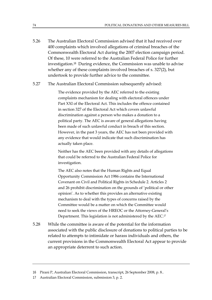- 5.26 The Australian Electoral Commission advised that it had received over 400 complaints which involved allegations of criminal breaches of the Commonwealth Electoral Act during the 2007 election campaign period. Of these, 10 were referred to the Australian Federal Police for further investigation.<sup>16</sup> During evidence, the Commission was unable to advise whether any of these complaints involved breaches of s. 327(2), but undertook to provide further advice to the committee.
- 5.27 The Australian Electoral Commission subsequently advised:

The evidence provided by the AEC referred to the existing complaints mechanism for dealing with electoral offences under Part XXI of the Electoral Act. This includes the offence contained in section 327 of the Electoral Act which covers unlawful discrimination against a person who makes a donation to a political party. The AEC is aware of general allegations having been made of such unlawful conduct in breach of this section. However, in the past 3 years, the AEC has not been provided with any evidence that would indicate that such discrimination has actually taken place.

Neither has the AEC been provided with any details of allegations that could be referred to the Australian Federal Police for investigation.

The AEC also notes that the Human Rights and Equal Opportunity Commission Act 1986 contains the International Covenant on Civil and Political Rights in Schedule 2. Articles 2 and 26 prohibit discrimination on the grounds of 'political or other opinion'. As to whether this provides an alternative existing mechanism to deal with the types of concerns raised by the Committee would be a matter on which the Committee would need to seek the views of the HREOC or the Attorney-General's Department. This legislation is not administered by the AEC.<sup>17</sup>

5.28 While the committee is aware of the potential for the information associated with the public disclosure of donations to political parties to be related to attempts to intimidate or harass individuals and others, the current provisions in the Commonwealth Electoral Act appear to provide an appropriate deterrent to such action.

<sup>16</sup> Pirani P, Australian Electoral Commission, transcript, 26 September 2008, p. 8..

<sup>17</sup> Australian Electoral Commission, submission 3, p. 2.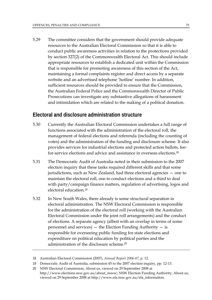5.29 The committee considers that the government should provide adequate resources to the Australian Electoral Commission so that it is able to conduct public awareness activities in relation to the protections provided by section 327(2) of the Commonwealth Electoral Act. This should include appropriate resources to establish a dedicated unit within the Commission that is responsible for promoting awareness of this section of the Act, maintaining a formal complaints register and direct access by a separate website and an advertised telephone 'hotline' number. In addition, sufficient resources should be provided to ensure that the Commission, the Australian Federal Police and the Commonwealth Director of Public Prosecutions can investigate any substantive allegations of harassment and intimidation which are related to the making of a political donation.

#### **Electoral and disclosure administration structure**

- 5.30 Currently the Australian Electoral Commission undertakes a full range of functions associated with the administration of the electoral roll, the management of federal elections and referenda (including the counting of votes) and the administration of the funding and disclosure scheme. It also provides services for industrial elections and protected action ballots, feefor-service elections and advice and assistance in overseas elections.<sup>18</sup>
- 5.31 The Democratic Audit of Australia noted in their submission to the 2007 election inquiry that these tasks required different skills and that some jurisdictions, such as New Zealand, had three electoral agencies — one to maintain the electoral roll, one to conduct elections and a third to deal with party/campaign finance matters, regulation of advertising, logos and electoral education<sup>19</sup>
- 5.32 In New South Wales, there already is some structural separation in electoral administration. The NSW Electoral Commission is responsible for the administration of the electoral roll (working with the Australian Electoral Commission under the joint roll arrangements) and the conduct of elections. A separate agency (albeit with an overlap in terms of some personnel and services) — the Election Funding Authority — is responsible for overseeing public funding for state elections and expenditure on political education by political parties and the administration of the disclosure scheme.<sup>20</sup>

<sup>18</sup> Australian Electoral Commission (2007), *Annual Report 2006-07*, p. 12.

<sup>19</sup> Democratic Audit of Australia, submission 45 to the 2007 election inquiry, pp. 12-13.

<sup>20</sup> NSW Electoral Commission, About us, viewed on 29 September 2008 at http://www.elections.nsw.gov.au/about\_nswec; NSW Election Funding Authority, About us, viewed on 29 September 2008 at http://www.efa.nsw.gov.au/efa\_information.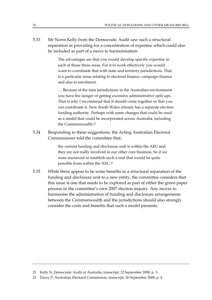5.33 Mr Norm Kelly from the Democratic Audit saw such a structural separation as providing for a concentration of expertise which could also be included as part of a move to harmonisation:

> The advantages are that you would develop specific expertise in each of those three areas. For it to work effectively you would want to coordinate that with state and territory jurisdictions. That is a particular issue relating to electoral finance, campaign finance and also to enrolment.

… Because of the nine jurisdictions in the Australian environment you have the danger of getting excessive administrative split ups. That is why I recommend that it should come together so that you can coordinate it. New South Wales already has a separate election funding authority. Perhaps with some changes that could be used as a model that could be incorporated across Australia, including the Commonwealth.<sup>21</sup>

5.34 Responding to these suggestions, the Acting Australian Electoral Commissioner told the committee that:

> the current funding and disclosure unit is within the AEC and they are not really involved in our other core business. So if we were resourced to establish such a unit that would be quite possible from within the AEC.<sup>22</sup>

5.35 While there appear to be some benefits to a structural separation of the funding and disclosure unit to a new entity, the committee considers that this issue is one that needs to be explored as part of either the green paper process or the committee's own 2007 election inquiry. Any moves to harmonise the administration of funding and disclosure arrangements between the Commonwealth and the jurisdictions should also strongly consider the costs and benefits that such a model presents.

<sup>21</sup> Kelly N, Democratic Audit of Australia, transcript, 22 September 2008, p. 3.

<sup>22</sup> Dacey P, Australian Electoral Commission, transcript, 26 September 2008, p. 4.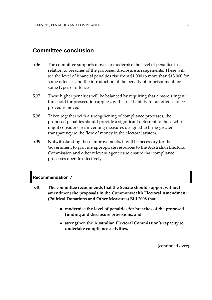#### **Committee conclusion**

- 5.36 The committee supports moves to modernise the level of penalties in relation to breaches of the proposed disclosure arrangements. These will see the level of financial penalties rise from \$1,000 to more than \$13,000 for some offences and the introduction of the penalty of imprisonment for some types of offences.
- 5.37 These higher penalties will be balanced by requiring that a more stingent threshold for prosecution applies, with strict liability for an offence to be proved removed.
- 5.38 Taken together with a strengthening of compliance processes, the proposed penalties should provide a significant deterrent to those who might consider circumventing measures designed to bring greater transparency to the flow of money in the electoral system.
- 5.39 Notwithstanding these improvements, it will be necessary for the Government to provide appropriate resources to the Australian Electoral Commission and other relevant agencies to ensure that compliance processes operate effectively.

#### **Recommendation 7**

- 5.40 **The committee recommends that the Senate should support without amendment the proposals in the Commonwealth Electoral Amendment (Political Donations and Other Measures) Bill 2008 that:** 
	- **modernise the level of penalties for breaches of the proposed funding and disclosure provisions; and**
	- **strengthen the Australian Electoral Commission's capacity to undertake compliance activities.**

(continued over)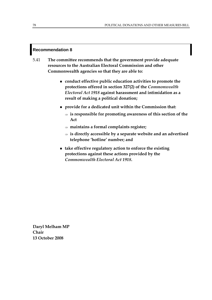#### **Recommendation 8**

- 5.41 **The committee recommends that the government provide adequate resources to the Australian Electoral Commission and other Commonwealth agencies so that they are able to:** 
	- **conduct effective public education activities to promote the protections offered in section 327(2) of the** *Commonwealth Electoral Act 1918* **against harassment and intimidation as a result of making a political donation;**
	- **provide for a dedicated unit within the Commission that:** 
		- <sup>⇒</sup> **is responsible for promoting awareness of this section of the Act**
		- <sup>⇒</sup> **maintains a formal complaints register;**
		- <sup>⇒</sup> **is directly accessible by a separate website and an advertised telephone 'hotline' number; and**
	- **take effective regulatory action to enforce the existing protections against these actions provided by the**  *Commonwealth Electoral Act 1918***.**

**Daryl Melham MP Chair 13 October 2008**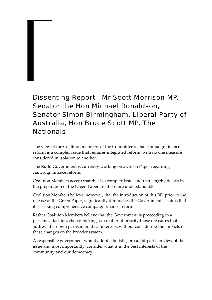

## Dissenting Report—Mr Scott Morrison MP, Senator the Hon Michael Ronaldson, Senator Simon Birmingham, Liberal Party of Australia, Hon Bruce Scott MP, The **Nationals**

The view of the Coalition members of the Committee is that campaign finance reform is a complex issue that requires integrated reform, with no one measure considered in isolation to another.

The Rudd Government is currently working on a Green Paper regarding campaign finance reform.

Coalition Members accept that this is a complex issue and that lengthy delays in the preparation of the Green Paper are therefore understandable.

Coalition Members believe, however, that the introduction of this Bill prior to the release of the Green Paper, significantly diminishes the Government's claims that it is seeking comprehensive campaign finance reform.

Rather Coalition Members believe that the Government is proceeding in a piecemeal fashion, cherry-picking as a matter of priority those measures that address their own partisan political interests, without considering the impacts of these changes on the broader system.

A responsible government would adopt a holistic, broad, bi-partisan view of the issue and most importantly, consider what is in the best interests of the community and our democracy.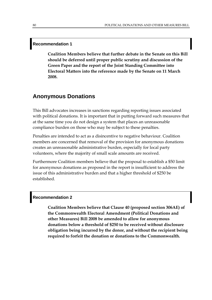#### **Recommendation 1**

**Coalition Members believe that further debate in the Senate on this Bill should be deferred until proper public scrutiny and discussion of the Green Paper and the report of the Joint Standing Committee into Electoral Matters into the reference made by the Senate on 11 March 2008.** 

#### **Anonymous Donations**

This Bill advocates increases in sanctions regarding reporting issues associated with political donations. It is important that in putting forward such measures that at the same time you do not design a system that places an unreasonable compliance burden on those who may be subject to these penalties.

Penalties are intended to act as a disincentive to negative behaviour. Coalition members are concerned that removal of the provision for anonymous donations creates an unreasonable administrative burden, especially for local party volunteers, where the majority of small scale amounts are received.

Furthermore Coalition members believe that the proposal to establish a \$50 limit for anonymous donations as proposed in the report is insufficient to address the issue of this administrative burden and that a higher threshold of \$250 be established.

#### **Recommendation 2**

**Coalition Members believe that Clause 40 (proposed section 306AE) of the Commonwealth Electoral Amendment (Political Donations and other Measures) Bill 2008 be amended to allow for anonymous donations below a threshold of \$250 to be received without disclosure obligation being incurred by the donor, and without the recipient being required to forfeit the donation or donations to the Commonwealth.**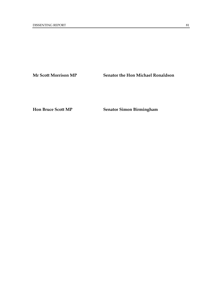**Mr Scott Morrison MP** Senator the Hon Michael Ronaldson

**Hon Bruce Scott MP Senator Simon Birmingham**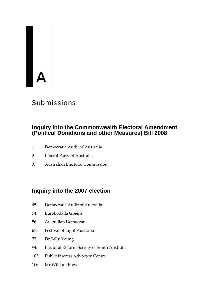## $\bm{\mathsf{A}}\bm{\mathsf{\parallel}}$

## **Submissions**

## **Inquiry into the Commonwealth Electoral Amendment (Political Donations and other Measures) Bill 2008**

- 1. Democratic Audit of Australia
- 2. Liberal Party of Australia
- 3. Australian Electoral Commission

## **Inquiry into the 2007 election**

- 45. Democratic Audit of Australia
- 54. Eurobodalla Greens
- 56. Australian Democrats
- 67. Festival of Light Australia
- 77. Dr Sally Young
- 94. Electoral Reform Society of South Australia
- 103. Public Interest Advocacy Centre
- 106. Mr William Bowe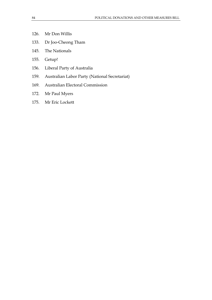| 126. |  | Mr Don Willis |
|------|--|---------------|
|      |  |               |

- 133. Dr Joo-Cheong Tham
- 145. The Nationals
- 155. Getup!
- 156. Liberal Party of Australia
- 159. Australian Labor Party (National Secretariat)
- 169. Australian Electoral Commission
- 172. Mr Paul Myers
- 175. Mr Eric Lockett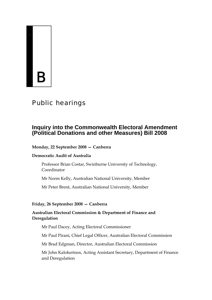## $\mathbf{B}$

## Public hearings

### **Inquiry into the Commonwealth Electoral Amendment (Political Donations and other Measures) Bill 2008**

#### **Monday, 22 September 2008 — Canberra**

#### **Democratic Audit of Australia**

Professor Brian Costar, Swinburne University of Technology, Coordinator

Mr Norm Kelly, Australian National University, Member

Mr Peter Brent, Australian National University, Member

#### **Friday, 26 September 2008 — Canberra**

#### **Australian Electoral Commission & Department of Finance and Deregulation**

Mr Paul Dacey, Acting Electoral Commissioner

Mr Paul Pirani, Chief Legal Officer, Australian Electoral Commission

Mr Brad Edgman, Director, Australian Electoral Commission

Mr John Kalokerinos, Acting Assistant Secretary, Department of Finance and Deregulation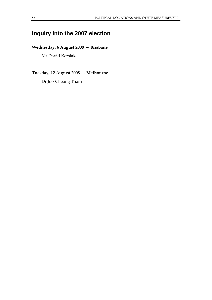## **Inquiry into the 2007 election**

#### **Wednesday, 6 August 2008 — Brisbane**

Mr David Kerslake

#### **Tuesday, 12 August 2008 — Melbourne**

Dr Joo-Cheong Tham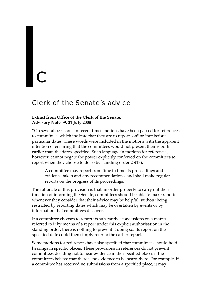## C

## Clerk of the Senate's advice

#### **Extract from Office of the Clerk of the Senate, Advisory Note 59, 31 July 2008**

"On several occasions in recent times motions have been passed for references to committees which indicate that they are to report "on" or "not before" particular dates. These words were included in the motions with the apparent intention of ensuring that the committees would not present their reports earlier than the dates specified. Such language in motions for references, however, cannot negate the power explicitly conferred on the committees to report when they choose to do so by standing order 25(18):

A committee may report from time to time its proceedings and evidence taken and any recommendations, and shall make regular reports on the progress of its proceedings.

The rationale of this provision is that, in order properly to carry out their function of informing the Senate, committees should be able to make reports whenever they consider that their advice may be helpful, without being restricted by reporting dates which may be overtaken by events or by information that committees discover.

If a committee chooses to report its substantive conclusions on a matter referred to it by means of a report under this explicit authorisation in the standing order, there is nothing to prevent it doing so. Its report on the specified date could then simply refer to the earlier report.

Some motions for references have also specified that committees should hold hearings in specific places. These provisions in references do not prevent committees deciding not to hear evidence in the specified places if the committees believe that there is no evidence to be heard there. For example, if a committee has received no submissions from a specified place, it may